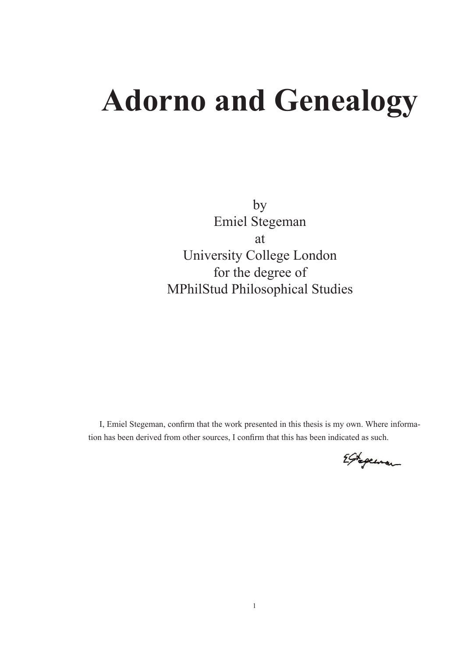# **Adorno and Genealogy**

by Emiel Stegeman at University College London for the degree of MPhilStud Philosophical Studies

I, Emiel Stegeman, confirm that the work presented in this thesis is my own. Where information has been derived from other sources, I confirm that this has been indicated as such.

Egrepenan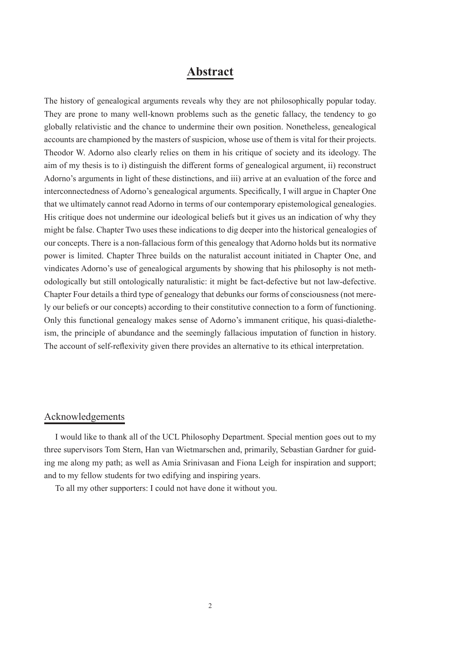# **Abstract**

The history of genealogical arguments reveals why they are not philosophically popular today. They are prone to many well-known problems such as the genetic fallacy, the tendency to go globally relativistic and the chance to undermine their own position. Nonetheless, genealogical accounts are championed by the masters of suspicion, whose use of them is vital for their projects. Theodor W. Adorno also clearly relies on them in his critique of society and its ideology. The aim of my thesis is to i) distinguish the different forms of genealogical argument, ii) reconstruct Adorno's arguments in light of these distinctions, and iii) arrive at an evaluation of the force and interconnectedness of Adorno's genealogical arguments. Specifically, I will argue in Chapter One that we ultimately cannot read Adorno in terms of our contemporary epistemological genealogies. His critique does not undermine our ideological beliefs but it gives us an indication of why they might be false. Chapter Two uses these indications to dig deeper into the historical genealogies of our concepts. There is a non-fallacious form of this genealogy that Adorno holds but its normative power is limited. Chapter Three builds on the naturalist account initiated in Chapter One, and vindicates Adorno's use of genealogical arguments by showing that his philosophy is not methodologically but still ontologically naturalistic: it might be fact-defective but not law-defective. Chapter Four details a third type of genealogy that debunks our forms of consciousness (not merely our beliefs or our concepts) according to their constitutive connection to a form of functioning. Only this functional genealogy makes sense of Adorno's immanent critique, his quasi-dialetheism, the principle of abundance and the seemingly fallacious imputation of function in history. The account of self-reflexivity given there provides an alternative to its ethical interpretation.

### Acknowledgements

I would like to thank all of the UCL Philosophy Department. Special mention goes out to my three supervisors Tom Stern, Han van Wietmarschen and, primarily, Sebastian Gardner for guiding me along my path; as well as Amia Srinivasan and Fiona Leigh for inspiration and support; and to my fellow students for two edifying and inspiring years.

To all my other supporters: I could not have done it without you.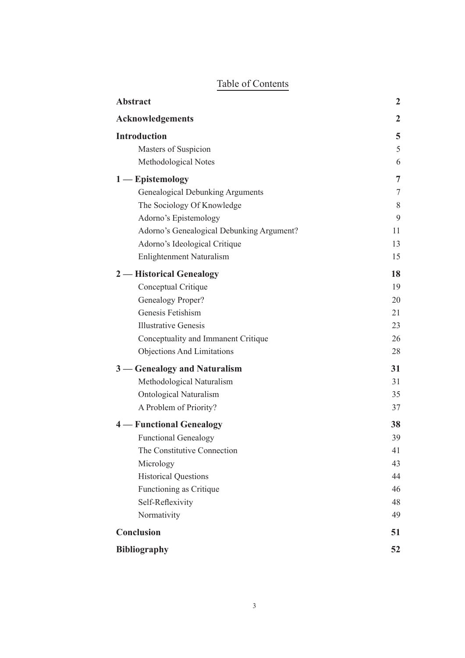|  | Table of Contents |
|--|-------------------|
|  |                   |

| <b>Abstract</b>                           | $\overline{2}$ |
|-------------------------------------------|----------------|
| <b>Acknowledgements</b>                   | 2              |
| <b>Introduction</b>                       | 5              |
| Masters of Suspicion                      | 5              |
| Methodological Notes                      | 6              |
| $1$ - Epistemology                        | 7              |
| <b>Genealogical Debunking Arguments</b>   | 7              |
| The Sociology Of Knowledge                | 8              |
| Adorno's Epistemology                     | 9              |
| Adorno's Genealogical Debunking Argument? | 11             |
| Adorno's Ideological Critique             | 13             |
| <b>Enlightenment Naturalism</b>           | 15             |
| 2 — Historical Genealogy                  | 18             |
| Conceptual Critique                       | 19             |
| Genealogy Proper?                         | 20             |
| Genesis Fetishism                         | 21             |
| <b>Illustrative Genesis</b>               | 23             |
| Conceptuality and Immanent Critique       | 26             |
| <b>Objections And Limitations</b>         | 28             |
| 3 — Genealogy and Naturalism              | 31             |
| Methodological Naturalism                 | 31             |
| Ontological Naturalism                    | 35             |
| A Problem of Priority?                    | 37             |
| <b>4</b> — Functional Genealogy           | 38             |
| <b>Functional Genealogy</b>               | 39             |
| The Constitutive Connection               | 41             |
| Micrology                                 | 43             |
| <b>Historical Questions</b>               | 44             |
| Functioning as Critique                   | 46             |
| Self-Reflexivity                          | 48             |
| Normativity                               | 49             |
| <b>Conclusion</b>                         |                |
| <b>Bibliography</b>                       |                |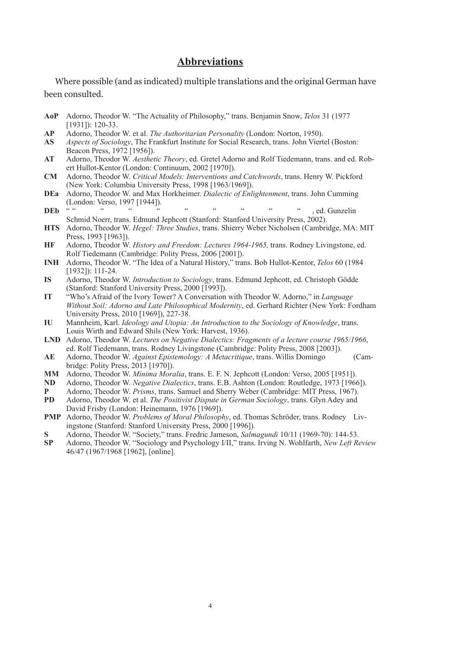# **Abbreviations**

Where possible (and as indicated) multiple translations and the original German have been consulted.

- **AoP** Adorno, Theodor W. "The Actuality of Philosophy," trans. Benjamin Snow, *Telos* 31 (1977 [1931]): 120-33.
- **AP** Adorno, Theodor W. et al. *The Authoritarian Personality* (London: Norton, 1950).
- **AS** *Aspects of Sociology*, The Frankfurt Institute for Social Research, trans. John Viertel (Boston: Beacon Press, 1972 [1956]).
- **AT** Adorno, Theodor W. *Aesthetic Theory*, ed. Gretel Adorno and Rolf Tiedemann, trans. and ed. Robert Hullot-Kentor (London: Continuum, 2002 [1970]).
- **CM** Adorno, Theodor W. *Critical Models: Interventions and Catchwords*, trans. Henry W. Pickford (New York: Columbia University Press, 1998 [1963/1969]).
- **DEa** Adorno, Theodor W. and Max Horkheimer. *Dialectic of Enlightenment*, trans. John Cumming (London: Verso, 1997 [1944]).
- **DEb** " " " " " " " " " .ed. Gunzelin Schmid Noerr, trans. Edmund Jephcott (Stanford: Stanford University Press, 2002).
- **HTS** Adorno, Theodor W. *Hegel: Three Studies*, trans. Shierry Weber Nicholsen (Cambridge, MA: MIT Press, 1993 [1963]).
- **HF** Adorno, Theodor W. *History and Freedom: Lectures 1964-1965,* trans. Rodney Livingstone, ed. Rolf Tiedemann (Cambridge: Polity Press, 2006 [2001]).
- **INH** Adorno, Theodor W. "The Idea of a Natural History," trans. Bob Hullot-Kentor, *Telos* 60 (1984 [1932]): 111-24.
- **IS** Adorno, Theodor W. *Introduction to Sociology*, trans. Edmund Jephcott, ed. Christoph Gödde (Stanford: Stanford University Press, 2000 [1993]).
- **IT** "Who's Afraid of the Ivory Tower? A Conversation with Theodor W. Adorno," in *Language Without Soil: Adorno and Late Philosophical Modernity*, ed. Gerhard Richter (New York: Fordham University Press, 2010 [1969]), 227-38.
- **IU** Mannheim, Karl. *Ideology and Utopia: An Introduction to the Sociology of Knowledge*, trans. Louis Wirth and Edward Shils (New York: Harvest, 1936).
- **LND** Adorno, Theodor W. *Lectures on Negative Dialectics: Fragments of a lecture course 1965/1966*, ed. Rolf Tiedemann, trans. Rodney Livingstone (Cambridge: Polity Press, 2008 [2003]).
- **AE** Adorno, Theodor W. *Against Epistemology: A Metacritique*, trans. Willis Domingo (Cambridge: Polity Press, 2013 [1970]).
- **MM** Adorno, Theodor W. *Minima Moralia*, trans. E. F. N. Jephcott (London: Verso, 2005 [1951]).
- **ND** Adorno, Theodor W. *Negative Dialectics*, trans. E.B. Ashton (London: Routledge, 1973 [1966]).
- **P** Adorno, Theodor W. *Prisms*, trans. Samuel and Sherry Weber (Cambridge: MIT Press, 1967).
- **PD** Adorno, Theodor W. et al. *The Positivist Dispute in German Sociology*, trans. Glyn Adey and David Frisby (London: Heinemann, 1976 [1969]).
- **PMP** Adorno, Theodor W. *Problems of Moral Philosophy*, ed. Thomas Schröder, trans. Rodney Livingstone (Stanford: Stanford University Press, 2000 [1996]).
- **S** Adorno, Theodor W. "Society," trans. Fredric Jameson, *Salmagundi* 10/11 (1969-70): 144-53.
- **SP** Adorno, Theodor W. "Sociology and Psychology I/II," trans. Irving N. Wohlfarth, *New Left Review* 46/47 (1967/1968 [1962], [online].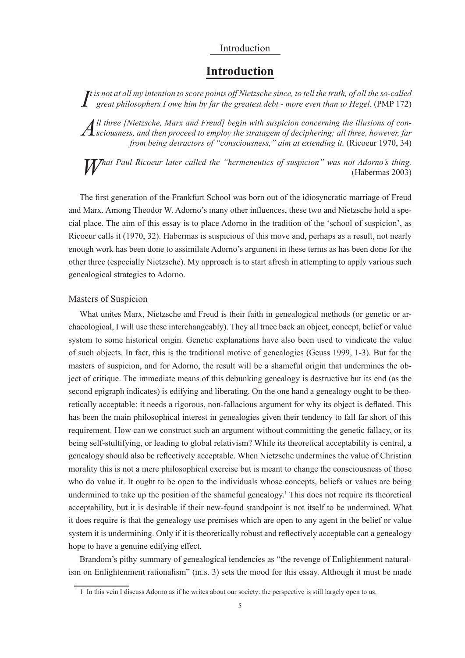# Introduction

# **Introduction**

*I*<sup>t</sup> is not at all my intention to score points off Nietzsche since, to tell the truth, of all the so-called great philosophers I owe him by far the greatest debt - more even than to Hegel. (PMP 172) *great philosophers I owe him by far the greatest debt - more even than to Hegel.* (PMP 172)

*A*<sup>ll</sup> three [Nietzsche, Marx and Freud] begin with suspicion concerning the illusions of considerations and then proceed to employ the stratagem of deciphering; all three, however, far *ll three [Nietzsche, Marx and Freud] begin with suspicion concerning the illusions of confrom being detractors of "consciousness," aim at extending it. (Ricoeur 1970, 34)* 

*What Paul Ricoeur later called the "hermeneutics of suspicion" was not Adorno's thing.* (Habermas 2003) (Habermas 2003)

The first generation of the Frankfurt School was born out of the idiosyncratic marriage of Freud and Marx. Among Theodor W. Adorno's many other influences, these two and Nietzsche hold a special place. The aim of this essay is to place Adorno in the tradition of the 'school of suspicion', as Ricoeur calls it (1970, 32). Habermas is suspicious of this move and, perhaps as a result, not nearly enough work has been done to assimilate Adorno's argument in these terms as has been done for the other three (especially Nietzsche). My approach is to start afresh in attempting to apply various such genealogical strategies to Adorno.

#### Masters of Suspicion

What unites Marx, Nietzsche and Freud is their faith in genealogical methods (or genetic or archaeological, I will use these interchangeably). They all trace back an object, concept, belief or value system to some historical origin. Genetic explanations have also been used to vindicate the value of such objects. In fact, this is the traditional motive of genealogies (Geuss 1999, 1-3). But for the masters of suspicion, and for Adorno, the result will be a shameful origin that undermines the object of critique. The immediate means of this debunking genealogy is destructive but its end (as the second epigraph indicates) is edifying and liberating. On the one hand a genealogy ought to be theoretically acceptable: it needs a rigorous, non-fallacious argument for why its object is deflated. This has been the main philosophical interest in genealogies given their tendency to fall far short of this requirement. How can we construct such an argument without committing the genetic fallacy, or its being self-stultifying, or leading to global relativism? While its theoretical acceptability is central, a genealogy should also be reflectively acceptable. When Nietzsche undermines the value of Christian morality this is not a mere philosophical exercise but is meant to change the consciousness of those who do value it. It ought to be open to the individuals whose concepts, beliefs or values are being undermined to take up the position of the shameful genealogy.<sup>1</sup> This does not require its theoretical acceptability, but it is desirable if their new-found standpoint is not itself to be undermined. What it does require is that the genealogy use premises which are open to any agent in the belief or value system it is undermining. Only if it is theoretically robust and reflectively acceptable can a genealogy hope to have a genuine edifying effect.

Brandom's pithy summary of genealogical tendencies as "the revenge of Enlightenment naturalism on Enlightenment rationalism" (m.s. 3) sets the mood for this essay. Although it must be made

<sup>1</sup> In this vein I discuss Adorno as if he writes about our society: the perspective is still largely open to us.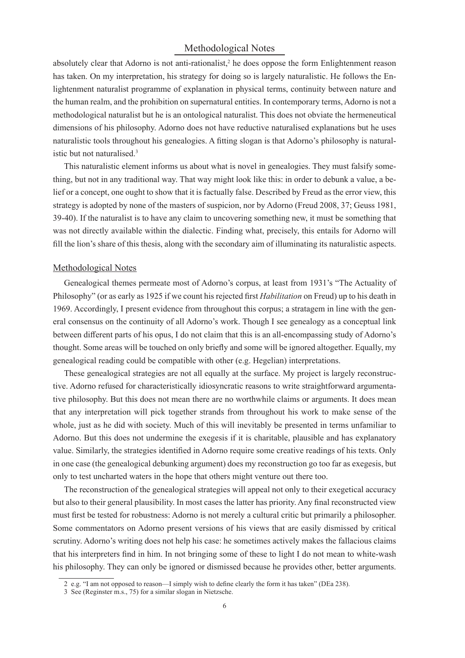# Methodological Notes

absolutely clear that Adorno is not anti-rationalist,<sup>2</sup> he does oppose the form Enlightenment reason has taken. On my interpretation, his strategy for doing so is largely naturalistic. He follows the Enlightenment naturalist programme of explanation in physical terms, continuity between nature and the human realm, and the prohibition on supernatural entities. In contemporary terms, Adorno is not a methodological naturalist but he is an ontological naturalist. This does not obviate the hermeneutical dimensions of his philosophy. Adorno does not have reductive naturalised explanations but he uses naturalistic tools throughout his genealogies. A fitting slogan is that Adorno's philosophy is naturalistic but not naturalised.<sup>3</sup>

This naturalistic element informs us about what is novel in genealogies. They must falsify something, but not in any traditional way. That way might look like this: in order to debunk a value, a belief or a concept, one ought to show that it is factually false. Described by Freud as the error view, this strategy is adopted by none of the masters of suspicion, nor by Adorno (Freud 2008, 37; Geuss 1981, 39-40). If the naturalist is to have any claim to uncovering something new, it must be something that was not directly available within the dialectic. Finding what, precisely, this entails for Adorno will fill the lion's share of this thesis, along with the secondary aim of illuminating its naturalistic aspects.

#### Methodological Notes

Genealogical themes permeate most of Adorno's corpus, at least from 1931's "The Actuality of Philosophy" (or as early as 1925 if we count his rejected first *Habilitation* on Freud) up to his death in 1969. Accordingly, I present evidence from throughout this corpus; a stratagem in line with the general consensus on the continuity of all Adorno's work. Though I see genealogy as a conceptual link between different parts of his opus, I do not claim that this is an all-encompassing study of Adorno's thought. Some areas will be touched on only briefly and some will be ignored altogether. Equally, my genealogical reading could be compatible with other (e.g. Hegelian) interpretations.

These genealogical strategies are not all equally at the surface. My project is largely reconstructive. Adorno refused for characteristically idiosyncratic reasons to write straightforward argumentative philosophy. But this does not mean there are no worthwhile claims or arguments. It does mean that any interpretation will pick together strands from throughout his work to make sense of the whole, just as he did with society. Much of this will inevitably be presented in terms unfamiliar to Adorno. But this does not undermine the exegesis if it is charitable, plausible and has explanatory value. Similarly, the strategies identified in Adorno require some creative readings of his texts. Only in one case (the genealogical debunking argument) does my reconstruction go too far as exegesis, but only to test uncharted waters in the hope that others might venture out there too.

The reconstruction of the genealogical strategies will appeal not only to their exegetical accuracy but also to their general plausibility. In most cases the latter has priority. Any final reconstructed view must first be tested for robustness: Adorno is not merely a cultural critic but primarily a philosopher. Some commentators on Adorno present versions of his views that are easily dismissed by critical scrutiny. Adorno's writing does not help his case: he sometimes actively makes the fallacious claims that his interpreters find in him. In not bringing some of these to light I do not mean to white-wash his philosophy. They can only be ignored or dismissed because he provides other, better arguments.

<sup>2</sup> e.g. "I am not opposed to reason—I simply wish to define clearly the form it has taken" (DEa 238).

<sup>3</sup> See (Reginster m.s., 75) for a similar slogan in Nietzsche.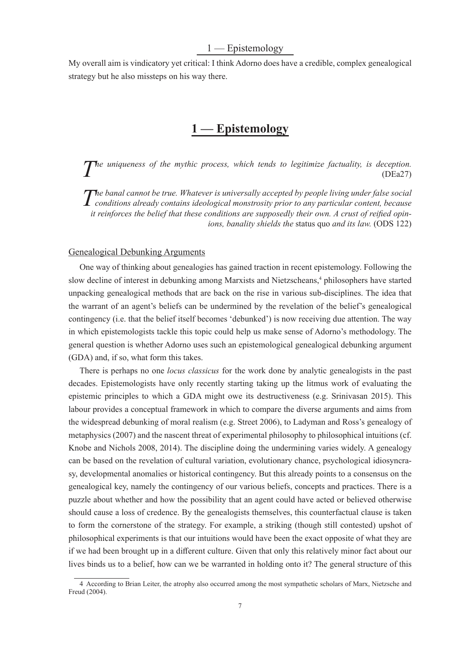# 1 — Epistemology

My overall aim is vindicatory yet critical: I think Adorno does have a credible, complex genealogical strategy but he also missteps on his way there.

# **1 — Epistemology**

*The uniqueness of the mythic process, which tends to legitimize factuality, is deception.* (DEa27) (DEa27)

*The banal cannot be true. Whatever is universally accepted by people living under false social* conditions already contains ideological monstrosity prior to any particular content, because *he banal cannot be true. Whatever is universally accepted by people living under false social it reinforces the belief that these conditions are supposedly their own. A crust of reified opinions, banality shields the* status quo *and its law.* (ODS 122)

#### Genealogical Debunking Arguments

One way of thinking about genealogies has gained traction in recent epistemology. Following the slow decline of interest in debunking among Marxists and Nietzscheans,<sup>4</sup> philosophers have started unpacking genealogical methods that are back on the rise in various sub-disciplines. The idea that the warrant of an agent's beliefs can be undermined by the revelation of the belief's genealogical contingency (i.e. that the belief itself becomes 'debunked') is now receiving due attention. The way in which epistemologists tackle this topic could help us make sense of Adorno's methodology. The general question is whether Adorno uses such an epistemological genealogical debunking argument (GDA) and, if so, what form this takes.

There is perhaps no one *locus classicus* for the work done by analytic genealogists in the past decades. Epistemologists have only recently starting taking up the litmus work of evaluating the epistemic principles to which a GDA might owe its destructiveness (e.g. Srinivasan 2015). This labour provides a conceptual framework in which to compare the diverse arguments and aims from the widespread debunking of moral realism (e.g. Street 2006), to Ladyman and Ross's genealogy of metaphysics (2007) and the nascent threat of experimental philosophy to philosophical intuitions (cf. Knobe and Nichols 2008, 2014). The discipline doing the undermining varies widely. A genealogy can be based on the revelation of cultural variation, evolutionary chance, psychological idiosyncrasy, developmental anomalies or historical contingency. But this already points to a consensus on the genealogical key, namely the contingency of our various beliefs, concepts and practices. There is a puzzle about whether and how the possibility that an agent could have acted or believed otherwise should cause a loss of credence. By the genealogists themselves, this counterfactual clause is taken to form the cornerstone of the strategy. For example, a striking (though still contested) upshot of philosophical experiments is that our intuitions would have been the exact opposite of what they are if we had been brought up in a different culture. Given that only this relatively minor fact about our lives binds us to a belief, how can we be warranted in holding onto it? The general structure of this

<sup>4</sup> According to Brian Leiter, the atrophy also occurred among the most sympathetic scholars of Marx, Nietzsche and Freud (2004).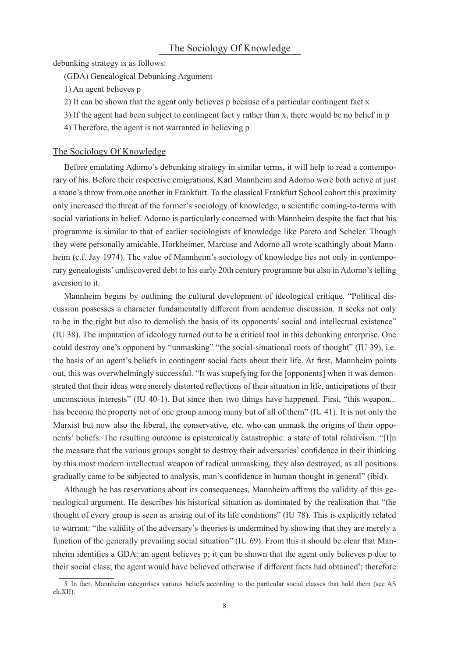debunking strategy is as follows:

(GDA) Genealogical Debunking Argument

- 1) An agent believes p
- 2) It can be shown that the agent only believes p because of a particular contingent fact x
- 3) If the agent had been subject to contingent fact y rather than x, there would be no belief in p
- 4) Therefore, the agent is not warranted in believing p

#### The Sociology Of Knowledge

Before emulating Adorno's debunking strategy in similar terms, it will help to read a contemporary of his. Before their respective emigrations, Karl Mannheim and Adorno were both active at just a stone's throw from one another in Frankfurt. To the classical Frankfurt School cohort this proximity only increased the threat of the former's sociology of knowledge, a scientific coming-to-terms with social variations in belief. Adorno is particularly concerned with Mannheim despite the fact that his programme is similar to that of earlier sociologists of knowledge like Pareto and Scheler. Though they were personally amicable, Horkheimer, Marcuse and Adorno all wrote scathingly about Mannheim (c.f. Jay 1974). The value of Mannheim's sociology of knowledge lies not only in contemporary genealogists' undiscovered debt to his early 20th century programme but also in Adorno's telling aversion to it.

Mannheim begins by outlining the cultural development of ideological critique. "Political discussion possesses a character fundamentally different from academic discussion. It seeks not only to be in the right but also to demolish the basis of its opponents' social and intellectual existence" (IU 38). The imputation of ideology turned out to be a critical tool in this debunking enterprise. One could destroy one's opponent by "unmasking" "the social-situational roots of thought" (IU 39), i.e. the basis of an agent's beliefs in contingent social facts about their life. At first, Mannheim points out, this was overwhelmingly successful. "It was stupefying for the [opponents] when it was demonstrated that their ideas were merely distorted reflections of their situation in life, anticipations of their unconscious interests" (IU 40-1). But since then two things have happened. First, "this weapon... has become the property not of one group among many but of all of them" (IU 41). It is not only the Marxist but now also the liberal, the conservative, etc. who can unmask the origins of their opponents' beliefs. The resulting outcome is epistemically catastrophic: a state of total relativism. "[I]n the measure that the various groups sought to destroy their adversaries' confidence in their thinking by this most modern intellectual weapon of radical unmasking, they also destroyed, as all positions gradually came to be subjected to analysis, man's confidence in human thought in general" (ibid).

Although he has reservations about its consequences, Mannheim affirms the validity of this genealogical argument. He describes his historical situation as dominated by the realisation that "the thought of every group is seen as arising out of its life conditions" (IU 78). This is explicitly related to warrant: "the validity of the adversary's theories is undermined by showing that they are merely a function of the generally prevailing social situation" (IU 69). From this it should be clear that Mannheim identifies a GDA: an agent believes p; it can be shown that the agent only believes p due to their social class; the agent would have believed otherwise if different facts had obtained<sup>5</sup>; therefore

<sup>5</sup> In fact, Mannheim categorises various beliefs according to the particular social classes that hold them (see AS ch.XII).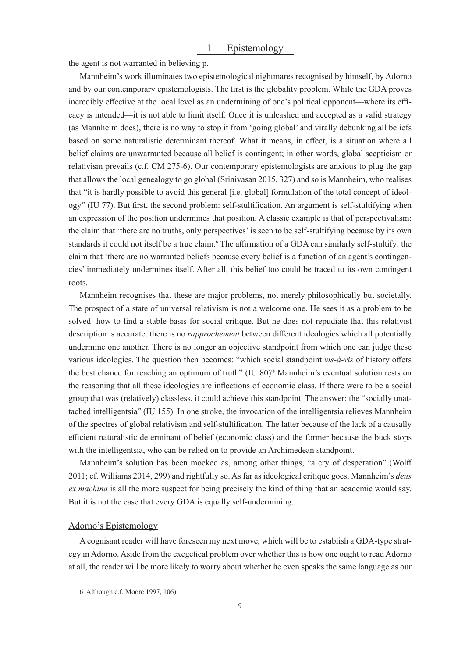the agent is not warranted in believing p.

Mannheim's work illuminates two epistemological nightmares recognised by himself, by Adorno and by our contemporary epistemologists. The first is the globality problem. While the GDA proves incredibly effective at the local level as an undermining of one's political opponent—where its efficacy is intended—it is not able to limit itself. Once it is unleashed and accepted as a valid strategy (as Mannheim does), there is no way to stop it from 'going global' and virally debunking all beliefs based on some naturalistic determinant thereof. What it means, in effect, is a situation where all belief claims are unwarranted because all belief is contingent; in other words, global scepticism or relativism prevails (c.f. CM 275-6). Our contemporary epistemologists are anxious to plug the gap that allows the local genealogy to go global (Srinivasan 2015, 327) and so is Mannheim, who realises that "it is hardly possible to avoid this general [i.e. global] formulation of the total concept of ideology" (IU 77). But first, the second problem: self-stultification. An argument is self-stultifying when an expression of the position undermines that position. A classic example is that of perspectivalism: the claim that 'there are no truths, only perspectives' is seen to be self-stultifying because by its own standards it could not itself be a true claim.<sup>6</sup> The affirmation of a GDA can similarly self-stultify: the claim that 'there are no warranted beliefs because every belief is a function of an agent's contingencies' immediately undermines itself. After all, this belief too could be traced to its own contingent roots.

Mannheim recognises that these are major problems, not merely philosophically but societally. The prospect of a state of universal relativism is not a welcome one. He sees it as a problem to be solved: how to find a stable basis for social critique. But he does not repudiate that this relativist description is accurate: there is no *rapprochement* between different ideologies which all potentially undermine one another. There is no longer an objective standpoint from which one can judge these various ideologies. The question then becomes: "which social standpoint *vis-à-vis* of history offers the best chance for reaching an optimum of truth" (IU 80)? Mannheim's eventual solution rests on the reasoning that all these ideologies are inflections of economic class. If there were to be a social group that was (relatively) classless, it could achieve this standpoint. The answer: the "socially unattached intelligentsia" (IU 155). In one stroke, the invocation of the intelligentsia relieves Mannheim of the spectres of global relativism and self-stultification. The latter because of the lack of a causally efficient naturalistic determinant of belief (economic class) and the former because the buck stops with the intelligentsia, who can be relied on to provide an Archimedean standpoint.

Mannheim's solution has been mocked as, among other things, "a cry of desperation" (Wolff 2011; cf. Williams 2014, 299) and rightfully so. As far as ideological critique goes, Mannheim's *deus ex machina* is all the more suspect for being precisely the kind of thing that an academic would say. But it is not the case that every GDA is equally self-undermining.

## Adorno's Epistemology

A cognisant reader will have foreseen my next move, which will be to establish a GDA-type strategy in Adorno. Aside from the exegetical problem over whether this is how one ought to read Adorno at all, the reader will be more likely to worry about whether he even speaks the same language as our

<sup>6</sup> Although c.f. Moore 1997, 106).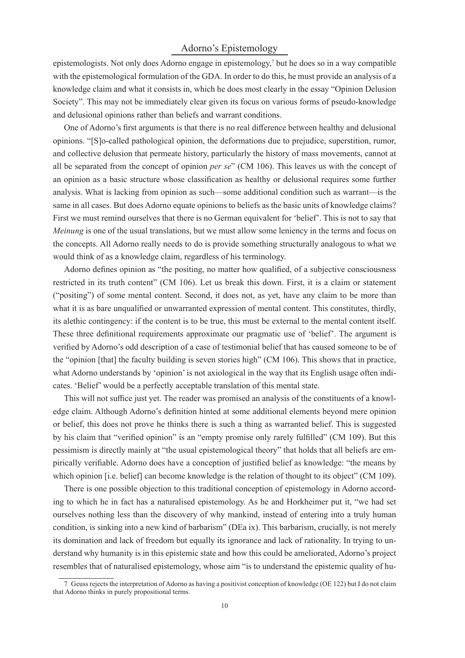# Adorno's Epistemology

epistemologists. Not only does Adorno engage in epistemology,<sup>7</sup> but he does so in a way compatible with the epistemological formulation of the GDA. In order to do this, he must provide an analysis of a knowledge claim and what it consists in, which he does most clearly in the essay "Opinion Delusion Society". This may not be immediately clear given its focus on various forms of pseudo-knowledge and delusional opinions rather than beliefs and warrant conditions.

One of Adorno's first arguments is that there is no real difference between healthy and delusional opinions. "[S]o-called pathological opinion, the deformations due to prejudice, superstition, rumor, and collective delusion that permeate history, particularly the history of mass movements, cannot at all be separated from the concept of opinion *per se*" (CM 106). This leaves us with the concept of an opinion as a basic structure whose classification as healthy or delusional requires some further analysis. What is lacking from opinion as such—some additional condition such as warrant—is the same in all cases. But does Adorno equate opinions to beliefs as the basic units of knowledge claims? First we must remind ourselves that there is no German equivalent for 'belief'. This is not to say that *Meinung* is one of the usual translations, but we must allow some leniency in the terms and focus on the concepts. All Adorno really needs to do is provide something structurally analogous to what we would think of as a knowledge claim, regardless of his terminology.

Adorno defines opinion as "the positing, no matter how qualified, of a subjective consciousness restricted in its truth content" (CM 106). Let us break this down. First, it is a claim or statement ("positing") of some mental content. Second, it does not, as yet, have any claim to be more than what it is as bare unqualified or unwarranted expression of mental content. This constitutes, thirdly, its alethic contingency: if the content is to be true, this must be external to the mental content itself. These three definitional requirements approximate our pragmatic use of 'belief'. The argument is verified by Adorno's odd description of a case of testimonial belief that has caused someone to be of the "opinion [that] the faculty building is seven stories high" (CM 106). This shows that in practice, what Adorno understands by 'opinion' is not axiological in the way that its English usage often indicates. 'Belief' would be a perfectly acceptable translation of this mental state.

This will not suffice just yet. The reader was promised an analysis of the constituents of a knowledge claim. Although Adorno's definition hinted at some additional elements beyond mere opinion or belief, this does not prove he thinks there is such a thing as warranted belief. This is suggested by his claim that "verified opinion" is an "empty promise only rarely fulfilled" (CM 109). But this pessimism is directly mainly at "the usual epistemological theory" that holds that all beliefs are empirically verifiable. Adorno does have a conception of justified belief as knowledge: "the means by which opinion *[i.e. belief]* can become knowledge is the relation of thought to its object" (CM 109).

There is one possible objection to this traditional conception of epistemology in Adorno according to which he in fact has a naturalised epistemology. As he and Horkheimer put it, "we had set ourselves nothing less than the discovery of why mankind, instead of entering into a truly human condition, is sinking into a new kind of barbarism" (DEa ix). This barbarism, crucially, is not merely its domination and lack of freedom but equally its ignorance and lack of rationality. In trying to understand why humanity is in this epistemic state and how this could be ameliorated, Adorno's project resembles that of naturalised epistemology, whose aim "is to understand the epistemic quality of hu-

<sup>7</sup> Geuss rejects the interpretation of Adorno as having a positivist conception of knowledge (OE 122) but I do not claim that Adorno thinks in purely propositional terms.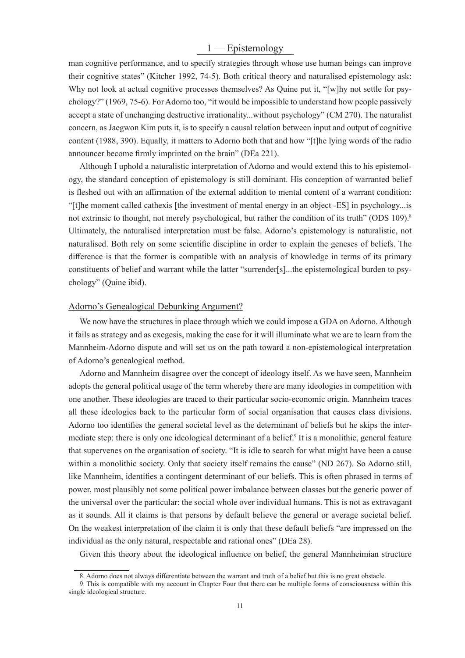# 1 — Epistemology

man cognitive performance, and to specify strategies through whose use human beings can improve their cognitive states" (Kitcher 1992, 74-5). Both critical theory and naturalised epistemology ask: Why not look at actual cognitive processes themselves? As Quine put it, "[w]hy not settle for psychology?" (1969, 75-6). For Adorno too, "it would be impossible to understand how people passively accept a state of unchanging destructive irrationality...without psychology" (CM 270). The naturalist concern, as Jaegwon Kim puts it, is to specify a causal relation between input and output of cognitive content (1988, 390). Equally, it matters to Adorno both that and how "[t]he lying words of the radio announcer become firmly imprinted on the brain" (DEa 221).

Although I uphold a naturalistic interpretation of Adorno and would extend this to his epistemology, the standard conception of epistemology is still dominant. His conception of warranted belief is fleshed out with an affirmation of the external addition to mental content of a warrant condition: "[t]he moment called cathexis [the investment of mental energy in an object -ES] in psychology...is not extrinsic to thought, not merely psychological, but rather the condition of its truth" (ODS 109).<sup>8</sup> Ultimately, the naturalised interpretation must be false. Adorno's epistemology is naturalistic, not naturalised. Both rely on some scientific discipline in order to explain the geneses of beliefs. The difference is that the former is compatible with an analysis of knowledge in terms of its primary constituents of belief and warrant while the latter "surrender[s]...the epistemological burden to psychology" (Quine ibid).

#### Adorno's Genealogical Debunking Argument?

We now have the structures in place through which we could impose a GDA on Adorno. Although it fails as strategy and as exegesis, making the case for it will illuminate what we are to learn from the Mannheim-Adorno dispute and will set us on the path toward a non-epistemological interpretation of Adorno's genealogical method.

Adorno and Mannheim disagree over the concept of ideology itself. As we have seen, Mannheim adopts the general political usage of the term whereby there are many ideologies in competition with one another. These ideologies are traced to their particular socio-economic origin. Mannheim traces all these ideologies back to the particular form of social organisation that causes class divisions. Adorno too identifies the general societal level as the determinant of beliefs but he skips the intermediate step: there is only one ideological determinant of a belief.<sup>9</sup> It is a monolithic, general feature that supervenes on the organisation of society. "It is idle to search for what might have been a cause within a monolithic society. Only that society itself remains the cause" (ND 267). So Adorno still, like Mannheim, identifies a contingent determinant of our beliefs. This is often phrased in terms of power, most plausibly not some political power imbalance between classes but the generic power of the universal over the particular: the social whole over individual humans. This is not as extravagant as it sounds. All it claims is that persons by default believe the general or average societal belief. On the weakest interpretation of the claim it is only that these default beliefs "are impressed on the individual as the only natural, respectable and rational ones" (DEa 28).

Given this theory about the ideological influence on belief, the general Mannheimian structure

<sup>8</sup> Adorno does not always differentiate between the warrant and truth of a belief but this is no great obstacle.

<sup>9</sup> This is compatible with my account in Chapter Four that there can be multiple forms of consciousness within this single ideological structure.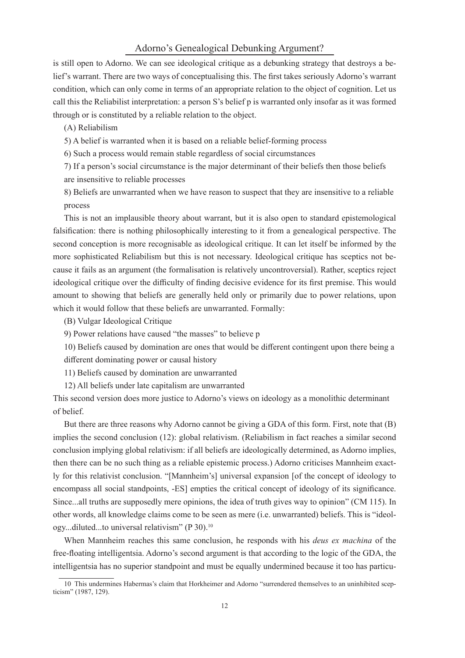#### Adorno's Genealogical Debunking Argument?

is still open to Adorno. We can see ideological critique as a debunking strategy that destroys a belief's warrant. There are two ways of conceptualising this. The first takes seriously Adorno's warrant condition, which can only come in terms of an appropriate relation to the object of cognition. Let us call this the Reliabilist interpretation: a person S's belief p is warranted only insofar as it was formed through or is constituted by a reliable relation to the object.

(A) Reliabilism

5) A belief is warranted when it is based on a reliable belief-forming process

6) Such a process would remain stable regardless of social circumstances

7) If a person's social circumstance is the major determinant of their beliefs then those beliefs are insensitive to reliable processes

8) Beliefs are unwarranted when we have reason to suspect that they are insensitive to a reliable process

This is not an implausible theory about warrant, but it is also open to standard epistemological falsification: there is nothing philosophically interesting to it from a genealogical perspective. The second conception is more recognisable as ideological critique. It can let itself be informed by the more sophisticated Reliabilism but this is not necessary. Ideological critique has sceptics not because it fails as an argument (the formalisation is relatively uncontroversial). Rather, sceptics reject ideological critique over the difficulty of finding decisive evidence for its first premise. This would amount to showing that beliefs are generally held only or primarily due to power relations, upon which it would follow that these beliefs are unwarranted. Formally:

(B) Vulgar Ideological Critique

9) Power relations have caused "the masses" to believe p

10) Beliefs caused by domination are ones that would be different contingent upon there being a different dominating power or causal history

- 11) Beliefs caused by domination are unwarranted
- 12) All beliefs under late capitalism are unwarranted

This second version does more justice to Adorno's views on ideology as a monolithic determinant of belief.

But there are three reasons why Adorno cannot be giving a GDA of this form. First, note that (B) implies the second conclusion (12): global relativism. (Reliabilism in fact reaches a similar second conclusion implying global relativism: if all beliefs are ideologically determined, as Adorno implies, then there can be no such thing as a reliable epistemic process.) Adorno criticises Mannheim exactly for this relativist conclusion. "[Mannheim's] universal expansion [of the concept of ideology to encompass all social standpoints, -ES] empties the critical concept of ideology of its significance. Since...all truths are supposedly mere opinions, the idea of truth gives way to opinion" (CM 115). In other words, all knowledge claims come to be seen as mere (i.e. unwarranted) beliefs. This is "ideology...diluted...to universal relativism" (P 30).<sup>10</sup>

When Mannheim reaches this same conclusion, he responds with his *deus ex machina* of the free-floating intelligentsia. Adorno's second argument is that according to the logic of the GDA, the intelligentsia has no superior standpoint and must be equally undermined because it too has particu-

<sup>10</sup> This undermines Habermas's claim that Horkheimer and Adorno "surrendered themselves to an uninhibited scepticism" (1987, 129).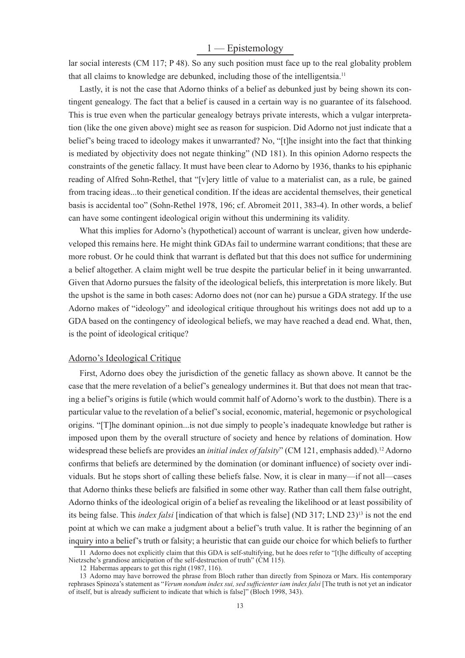# 1 — Epistemology

lar social interests (CM 117; P 48). So any such position must face up to the real globality problem that all claims to knowledge are debunked, including those of the intelligentsia.<sup>11</sup>

Lastly, it is not the case that Adorno thinks of a belief as debunked just by being shown its contingent genealogy. The fact that a belief is caused in a certain way is no guarantee of its falsehood. This is true even when the particular genealogy betrays private interests, which a vulgar interpretation (like the one given above) might see as reason for suspicion. Did Adorno not just indicate that a belief's being traced to ideology makes it unwarranted? No, "[t]he insight into the fact that thinking is mediated by objectivity does not negate thinking" (ND 181). In this opinion Adorno respects the constraints of the genetic fallacy. It must have been clear to Adorno by 1936, thanks to his epiphanic reading of Alfred Sohn-Rethel, that "[v]ery little of value to a materialist can, as a rule, be gained from tracing ideas...to their genetical condition. If the ideas are accidental themselves, their genetical basis is accidental too" (Sohn-Rethel 1978, 196; cf. Abromeit 2011, 383-4). In other words, a belief can have some contingent ideological origin without this undermining its validity.

What this implies for Adorno's (hypothetical) account of warrant is unclear, given how underdeveloped this remains here. He might think GDAs fail to undermine warrant conditions; that these are more robust. Or he could think that warrant is deflated but that this does not suffice for undermining a belief altogether. A claim might well be true despite the particular belief in it being unwarranted. Given that Adorno pursues the falsity of the ideological beliefs, this interpretation is more likely. But the upshot is the same in both cases: Adorno does not (nor can he) pursue a GDA strategy. If the use Adorno makes of "ideology" and ideological critique throughout his writings does not add up to a GDA based on the contingency of ideological beliefs, we may have reached a dead end. What, then, is the point of ideological critique?

#### Adorno's Ideological Critique

First, Adorno does obey the jurisdiction of the genetic fallacy as shown above. It cannot be the case that the mere revelation of a belief's genealogy undermines it. But that does not mean that tracing a belief's origins is futile (which would commit half of Adorno's work to the dustbin). There is a particular value to the revelation of a belief's social, economic, material, hegemonic or psychological origins. "[T]he dominant opinion...is not due simply to people's inadequate knowledge but rather is imposed upon them by the overall structure of society and hence by relations of domination. How widespread these beliefs are provides an *initial index of falsity*" (CM 121, emphasis added).<sup>12</sup> Adorno confirms that beliefs are determined by the domination (or dominant influence) of society over individuals. But he stops short of calling these beliefs false. Now, it is clear in many—if not all—cases that Adorno thinks these beliefs are falsified in some other way. Rather than call them false outright, Adorno thinks of the ideological origin of a belief as revealing the likelihood or at least possibility of its being false. This *index falsi* [indication of that which is false] (ND 317; LND 23)<sup>13</sup> is not the end point at which we can make a judgment about a belief's truth value. It is rather the beginning of an inquiry into a belief's truth or falsity; a heuristic that can guide our choice for which beliefs to further

<sup>11</sup> Adorno does not explicitly claim that this GDA is self-stultifying, but he does refer to "[t]he difficulty of accepting Nietzsche's grandiose anticipation of the self-destruction of truth" (CM 115).

<sup>12</sup> Habermas appears to get this right (1987, 116).

<sup>13</sup> Adorno may have borrowed the phrase from Bloch rather than directly from Spinoza or Marx. His contemporary rephrases Spinoza's statement as "Verum nondum index sui, sed sufficienter iam index falsi [The truth is not yet an indicator of itself, but is already sufficient to indicate that which is false]" (Bloch 1998, 343).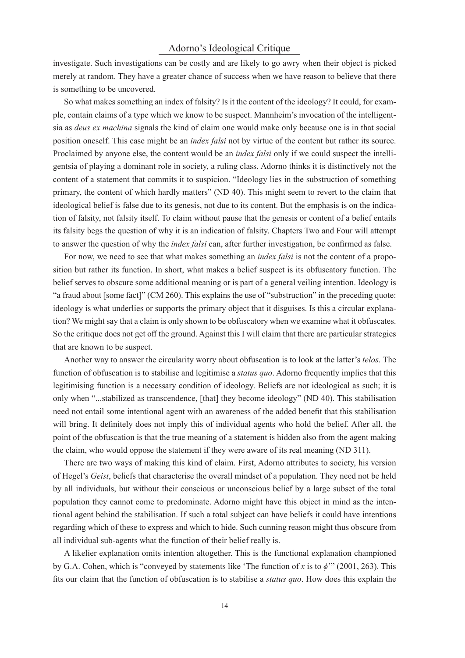# Adorno's Ideological Critique

investigate. Such investigations can be costly and are likely to go awry when their object is picked merely at random. They have a greater chance of success when we have reason to believe that there is something to be uncovered.

So what makes something an index of falsity? Is it the content of the ideology? It could, for example, contain claims of a type which we know to be suspect. Mannheim's invocation of the intelligentsia as *deus ex machina* signals the kind of claim one would make only because one is in that social position oneself. This case might be an *index falsi* not by virtue of the content but rather its source. Proclaimed by anyone else, the content would be an *index falsi* only if we could suspect the intelligentsia of playing a dominant role in society, a ruling class. Adorno thinks it is distinctively not the content of a statement that commits it to suspicion. "Ideology lies in the substruction of something primary, the content of which hardly matters" (ND 40). This might seem to revert to the claim that ideological belief is false due to its genesis, not due to its content. But the emphasis is on the indication of falsity, not falsity itself. To claim without pause that the genesis or content of a belief entails its falsity begs the question of why it is an indication of falsity. Chapters Two and Four will attempt to answer the question of why the *index falsi* can, after further investigation, be confirmed as false.

For now, we need to see that what makes something an *index falsi* is not the content of a proposition but rather its function. In short, what makes a belief suspect is its obfuscatory function. The belief serves to obscure some additional meaning or is part of a general veiling intention. Ideology is "a fraud about [some fact]" (CM 260). This explains the use of "substruction" in the preceding quote: ideology is what underlies or supports the primary object that it disguises. Is this a circular explanation? We might say that a claim is only shown to be obfuscatory when we examine what it obfuscates. So the critique does not get off the ground. Against this I will claim that there are particular strategies that are known to be suspect.

Another way to answer the circularity worry about obfuscation is to look at the latter's *telos*. The function of obfuscation is to stabilise and legitimise a *status quo*. Adorno frequently implies that this legitimising function is a necessary condition of ideology. Beliefs are not ideological as such; it is only when "...stabilized as transcendence, [that] they become ideology" (ND 40). This stabilisation need not entail some intentional agent with an awareness of the added benefit that this stabilisation will bring. It definitely does not imply this of individual agents who hold the belief. After all, the point of the obfuscation is that the true meaning of a statement is hidden also from the agent making the claim, who would oppose the statement if they were aware of its real meaning (ND 311).

There are two ways of making this kind of claim. First, Adorno attributes to society, his version of Hegel's *Geist*, beliefs that characterise the overall mindset of a population. They need not be held by all individuals, but without their conscious or unconscious belief by a large subset of the total population they cannot come to predominate. Adorno might have this object in mind as the intentional agent behind the stabilisation. If such a total subject can have beliefs it could have intentions regarding which of these to express and which to hide. Such cunning reason might thus obscure from all individual sub-agents what the function of their belief really is.

A likelier explanation omits intention altogether. This is the functional explanation championed by G.A. Cohen, which is "conveyed by statements like 'The function of *x* is to *ϕ*'" (2001, 263). This fits our claim that the function of obfuscation is to stabilise a *status quo*. How does this explain the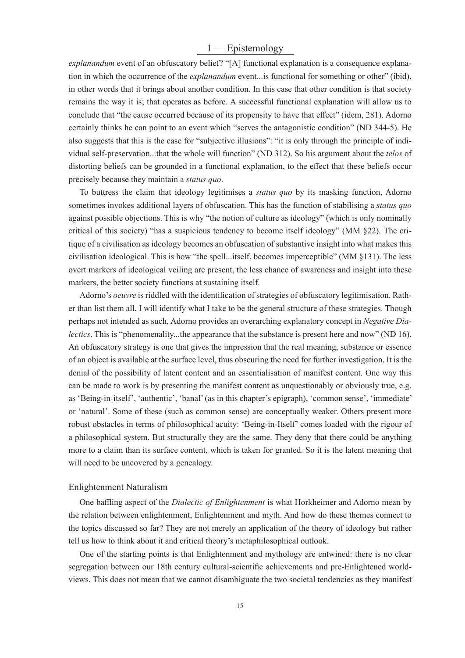# 1 — Epistemology

*explanandum* event of an obfuscatory belief? "[A] functional explanation is a consequence explanation in which the occurrence of the *explanandum* event...is functional for something or other" (ibid), in other words that it brings about another condition. In this case that other condition is that society remains the way it is; that operates as before. A successful functional explanation will allow us to conclude that "the cause occurred because of its propensity to have that effect" (idem, 281). Adorno certainly thinks he can point to an event which "serves the antagonistic condition" (ND 344-5). He also suggests that this is the case for "subjective illusions": "it is only through the principle of individual self-preservation...that the whole will function" (ND 312). So his argument about the *telos* of distorting beliefs can be grounded in a functional explanation, to the effect that these beliefs occur precisely because they maintain a *status quo*.

To buttress the claim that ideology legitimises a *status quo* by its masking function, Adorno sometimes invokes additional layers of obfuscation. This has the function of stabilising a *status quo* against possible objections. This is why "the notion of culture as ideology" (which is only nominally critical of this society) "has a suspicious tendency to become itself ideology" (MM §22). The critique of a civilisation as ideology becomes an obfuscation of substantive insight into what makes this civilisation ideological. This is how "the spell...itself, becomes imperceptible" (MM §131). The less overt markers of ideological veiling are present, the less chance of awareness and insight into these markers, the better society functions at sustaining itself.

Adorno's *oeuvre* is riddled with the identification of strategies of obfuscatory legitimisation. Rather than list them all, I will identify what I take to be the general structure of these strategies. Though perhaps not intended as such, Adorno provides an overarching explanatory concept in *Negative Dialectics*. This is "phenomenality...the appearance that the substance is present here and now" (ND 16). An obfuscatory strategy is one that gives the impression that the real meaning, substance or essence of an object is available at the surface level, thus obscuring the need for further investigation. It is the denial of the possibility of latent content and an essentialisation of manifest content. One way this can be made to work is by presenting the manifest content as unquestionably or obviously true, e.g. as 'Being-in-itself', 'authentic', 'banal' (as in this chapter's epigraph), 'common sense', 'immediate' or 'natural'. Some of these (such as common sense) are conceptually weaker. Others present more robust obstacles in terms of philosophical acuity: 'Being-in-Itself' comes loaded with the rigour of a philosophical system. But structurally they are the same. They deny that there could be anything more to a claim than its surface content, which is taken for granted. So it is the latent meaning that will need to be uncovered by a genealogy.

#### Enlightenment Naturalism

One baffling aspect of the *Dialectic of Enlightenment* is what Horkheimer and Adorno mean by the relation between enlightenment, Enlightenment and myth. And how do these themes connect to the topics discussed so far? They are not merely an application of the theory of ideology but rather tell us how to think about it and critical theory's metaphilosophical outlook.

One of the starting points is that Enlightenment and mythology are entwined: there is no clear segregation between our 18th century cultural-scientific achievements and pre-Enlightened worldviews. This does not mean that we cannot disambiguate the two societal tendencies as they manifest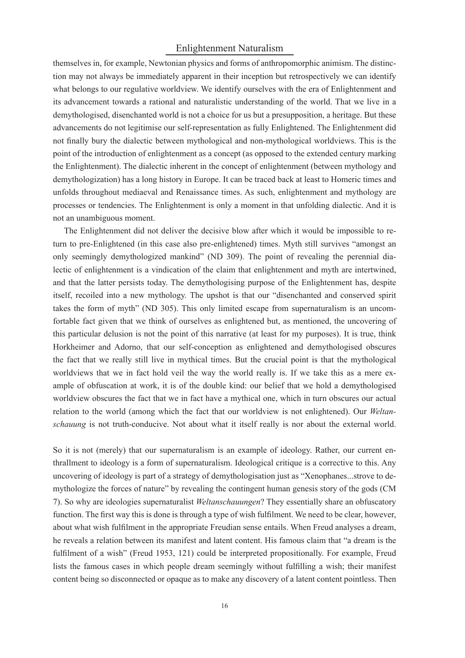# Enlightenment Naturalism

themselves in, for example, Newtonian physics and forms of anthropomorphic animism. The distinction may not always be immediately apparent in their inception but retrospectively we can identify what belongs to our regulative worldview. We identify ourselves with the era of Enlightenment and its advancement towards a rational and naturalistic understanding of the world. That we live in a demythologised, disenchanted world is not a choice for us but a presupposition, a heritage. But these advancements do not legitimise our self-representation as fully Enlightened. The Enlightenment did not finally bury the dialectic between mythological and non-mythological worldviews. This is the point of the introduction of enlightenment as a concept (as opposed to the extended century marking the Enlightenment). The dialectic inherent in the concept of enlightenment (between mythology and demythologization) has a long history in Europe. It can be traced back at least to Homeric times and unfolds throughout mediaeval and Renaissance times. As such, enlightenment and mythology are processes or tendencies. The Enlightenment is only a moment in that unfolding dialectic. And it is not an unambiguous moment.

The Enlightenment did not deliver the decisive blow after which it would be impossible to return to pre-Enlightened (in this case also pre-enlightened) times. Myth still survives "amongst an only seemingly demythologized mankind" (ND 309). The point of revealing the perennial dialectic of enlightenment is a vindication of the claim that enlightenment and myth are intertwined, and that the latter persists today. The demythologising purpose of the Enlightenment has, despite itself, recoiled into a new mythology. The upshot is that our "disenchanted and conserved spirit takes the form of myth" (ND 305). This only limited escape from supernaturalism is an uncomfortable fact given that we think of ourselves as enlightened but, as mentioned, the uncovering of this particular delusion is not the point of this narrative (at least for my purposes). It is true, think Horkheimer and Adorno, that our self-conception as enlightened and demythologised obscures the fact that we really still live in mythical times. But the crucial point is that the mythological worldviews that we in fact hold veil the way the world really is. If we take this as a mere example of obfuscation at work, it is of the double kind: our belief that we hold a demythologised worldview obscures the fact that we in fact have a mythical one, which in turn obscures our actual relation to the world (among which the fact that our worldview is not enlightened). Our *Weltanschauung* is not truth-conducive. Not about what it itself really is nor about the external world.

So it is not (merely) that our supernaturalism is an example of ideology. Rather, our current enthrallment to ideology is a form of supernaturalism. Ideological critique is a corrective to this. Any uncovering of ideology is part of a strategy of demythologisation just as "Xenophanes...strove to demythologize the forces of nature" by revealing the contingent human genesis story of the gods (CM 7). So why are ideologies supernaturalist *Weltanschauungen*? They essentially share an obfuscatory function. The first way this is done is through a type of wish fulfilment. We need to be clear, however, about what wish fulfilment in the appropriate Freudian sense entails. When Freud analyses a dream, he reveals a relation between its manifest and latent content. His famous claim that "a dream is the fulfilment of a wish" (Freud 1953, 121) could be interpreted propositionally. For example, Freud lists the famous cases in which people dream seemingly without fulfilling a wish; their manifest content being so disconnected or opaque as to make any discovery of a latent content pointless. Then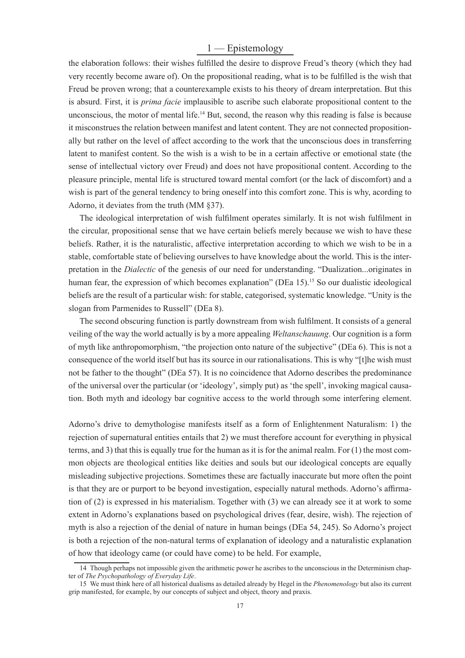# 1 — Epistemology

the elaboration follows: their wishes fulfilled the desire to disprove Freud's theory (which they had very recently become aware of). On the propositional reading, what is to be fulfilled is the wish that Freud be proven wrong; that a counterexample exists to his theory of dream interpretation. But this is absurd. First, it is *prima facie* implausible to ascribe such elaborate propositional content to the unconscious, the motor of mental life.<sup>14</sup> But, second, the reason why this reading is false is because it misconstrues the relation between manifest and latent content. They are not connected propositionally but rather on the level of affect according to the work that the unconscious does in transferring latent to manifest content. So the wish is a wish to be in a certain affective or emotional state (the sense of intellectual victory over Freud) and does not have propositional content. According to the pleasure principle, mental life is structured toward mental comfort (or the lack of discomfort) and a wish is part of the general tendency to bring oneself into this comfort zone. This is why, acording to Adorno, it deviates from the truth (MM §37).

The ideological interpretation of wish fulfilment operates similarly. It is not wish fulfilment in the circular, propositional sense that we have certain beliefs merely because we wish to have these beliefs. Rather, it is the naturalistic, affective interpretation according to which we wish to be in a stable, comfortable state of believing ourselves to have knowledge about the world. This is the interpretation in the *Dialectic* of the genesis of our need for understanding. "Dualization...originates in human fear, the expression of which becomes explanation" (DEa 15).<sup>15</sup> So our dualistic ideological beliefs are the result of a particular wish: for stable, categorised, systematic knowledge. "Unity is the slogan from Parmenides to Russell" (DEa 8).

The second obscuring function is partly downstream from wish fulfilment. It consists of a general veiling of the way the world actually is by a more appealing *Weltanschauung*. Our cognition is a form of myth like anthropomorphism, "the projection onto nature of the subjective" (DEa 6). This is not a consequence of the world itself but has its source in our rationalisations. This is why "[t]he wish must not be father to the thought" (DEa 57). It is no coincidence that Adorno describes the predominance of the universal over the particular (or 'ideology', simply put) as 'the spell', invoking magical causation. Both myth and ideology bar cognitive access to the world through some interfering element.

Adorno's drive to demythologise manifests itself as a form of Enlightenment Naturalism: 1) the rejection of supernatural entities entails that 2) we must therefore account for everything in physical terms, and 3) that this is equally true for the human as it is for the animal realm. For (1) the most common objects are theological entities like deities and souls but our ideological concepts are equally misleading subjective projections. Sometimes these are factually inaccurate but more often the point is that they are or purport to be beyond investigation, especially natural methods. Adorno's affirmation of (2) is expressed in his materialism. Together with (3) we can already see it at work to some extent in Adorno's explanations based on psychological drives (fear, desire, wish). The rejection of myth is also a rejection of the denial of nature in human beings (DEa 54, 245). So Adorno's project is both a rejection of the non-natural terms of explanation of ideology and a naturalistic explanation of how that ideology came (or could have come) to be held. For example,

<sup>14</sup> Though perhaps not impossible given the arithmetic power he ascribes to the unconscious in the Determinism chapter of *The Psychopathology of Everyday Life*.

<sup>15</sup> We must think here of all historical dualisms as detailed already by Hegel in the *Phenomenology* but also its current grip manifested, for example, by our concepts of subject and object, theory and praxis.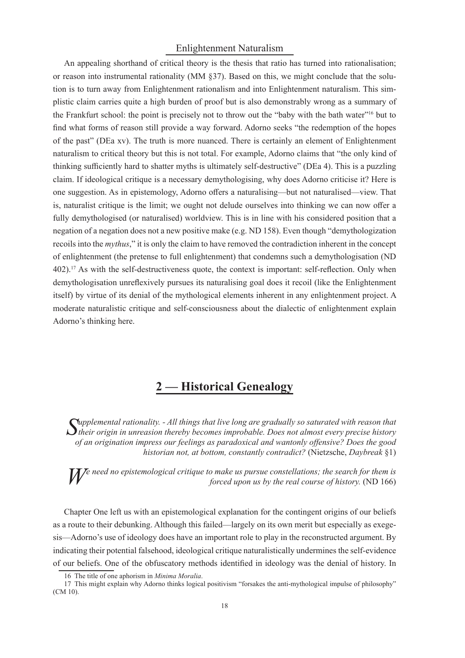### Enlightenment Naturalism

An appealing shorthand of critical theory is the thesis that ratio has turned into rationalisation; or reason into instrumental rationality ( $MM \$  $37$ ). Based on this, we might conclude that the solution is to turn away from Enlightenment rationalism and into Enlightenment naturalism. This simplistic claim carries quite a high burden of proof but is also demonstrably wrong as a summary of the Frankfurt school: the point is precisely not to throw out the "baby with the bath water"<sup>16</sup> but to find what forms of reason still provide a way forward. Adorno seeks "the redemption of the hopes of the past" (DEa xv). The truth is more nuanced. There is certainly an element of Enlightenment naturalism to critical theory but this is not total. For example, Adorno claims that "the only kind of thinking sufficiently hard to shatter myths is ultimately self-destructive" (DEa 4). This is a puzzling claim. If ideological critique is a necessary demythologising, why does Adorno criticise it? Here is one suggestion. As in epistemology, Adorno offers a naturalising—but not naturalised—view. That is, naturalist critique is the limit; we ought not delude ourselves into thinking we can now offer a fully demythologised (or naturalised) worldview. This is in line with his considered position that a negation of a negation does not a new positive make (e.g. ND 158). Even though "demythologization recoils into the *mythus*," it is only the claim to have removed the contradiction inherent in the concept of enlightenment (the pretense to full enlightenment) that condemns such a demythologisation (ND  $402$ ).<sup>17</sup> As with the self-destructiveness quote, the context is important: self-reflection. Only when demythologisation unreflexively pursues its naturalising goal does it recoil (like the Enlightenment itself) by virtue of its denial of the mythological elements inherent in any enlightenment project. A moderate naturalistic critique and self-consciousness about the dialectic of enlightenment explain Adorno's thinking here.

# **2 — Historical Genealogy**

Supplemental rationality. - All things that live long are gradually so saturated with reason that  $S$  their origin in unreasion thereby becomes improbable. Does not almost every precise history *upplemental rationality. - All things that live long are gradually so saturated with reason that of an origination impress our feelings as paradoxical and wantonly offensive? Does the good historian not, at bottom, constantly contradict?* (Nietzsche, *Daybreak* §1)

*W* e need no epistemological critique to make us pursue constellations; the search for them is forced upon us by the real course of history. (ND 166) *forced upon us by the real course of history.* (ND 166)

Chapter One left us with an epistemological explanation for the contingent origins of our beliefs as a route to their debunking. Although this failed—largely on its own merit but especially as exegesis—Adorno's use of ideology does have an important role to play in the reconstructed argument. By indicating their potential falsehood, ideological critique naturalistically undermines the self-evidence of our beliefs. One of the obfuscatory methods identified in ideology was the denial of history. In

<sup>16</sup> The title of one aphorism in *Minima Moralia*.

<sup>17</sup> This might explain why Adorno thinks logical positivism "forsakes the anti-mythological impulse of philosophy" (CM 10).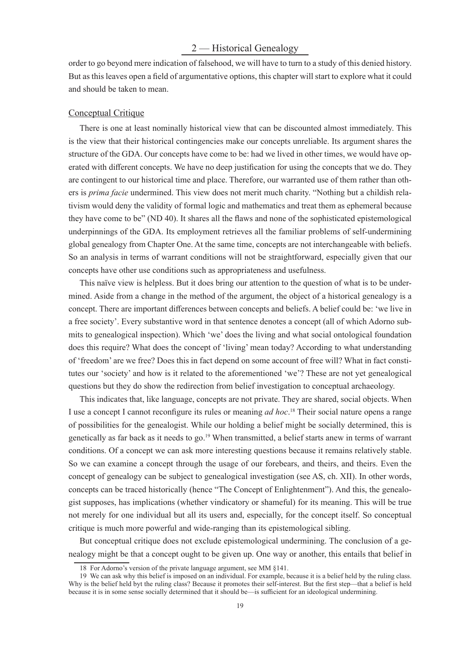# 2 — Historical Genealogy

order to go beyond mere indication of falsehood, we will have to turn to a study of this denied history. But as this leaves open a field of argumentative options, this chapter will start to explore what it could and should be taken to mean.

#### Conceptual Critique

There is one at least nominally historical view that can be discounted almost immediately. This is the view that their historical contingencies make our concepts unreliable. Its argument shares the structure of the GDA. Our concepts have come to be: had we lived in other times, we would have operated with different concepts. We have no deep justification for using the concepts that we do. They are contingent to our historical time and place. Therefore, our warranted use of them rather than others is *prima facie* undermined. This view does not merit much charity. "Nothing but a childish relativism would deny the validity of formal logic and mathematics and treat them as ephemeral because they have come to be" (ND 40). It shares all the flaws and none of the sophisticated epistemological underpinnings of the GDA. Its employment retrieves all the familiar problems of self-undermining global genealogy from Chapter One. At the same time, concepts are not interchangeable with beliefs. So an analysis in terms of warrant conditions will not be straightforward, especially given that our concepts have other use conditions such as appropriateness and usefulness.

This naïve view is helpless. But it does bring our attention to the question of what is to be undermined. Aside from a change in the method of the argument, the object of a historical genealogy is a concept. There are important differences between concepts and beliefs. A belief could be: 'we live in a free society'. Every substantive word in that sentence denotes a concept (all of which Adorno submits to genealogical inspection). Which 'we' does the living and what social ontological foundation does this require? What does the concept of 'living' mean today? According to what understanding of 'freedom' are we free? Does this in fact depend on some account of free will? What in fact constitutes our 'society' and how is it related to the aforementioned 'we'? These are not yet genealogical questions but they do show the redirection from belief investigation to conceptual archaeology.

This indicates that, like language, concepts are not private. They are shared, social objects. When I use a concept I cannot reconfigure its rules or meaning *ad hoc*.<sup>18</sup> Their social nature opens a range of possibilities for the genealogist. While our holding a belief might be socially determined, this is genetically as far back as it needs to go.<sup>19</sup> When transmitted, a belief starts anew in terms of warrant conditions. Of a concept we can ask more interesting questions because it remains relatively stable. So we can examine a concept through the usage of our forebears, and theirs, and theirs. Even the concept of genealogy can be subject to genealogical investigation (see AS, ch. XII). In other words, concepts can be traced historically (hence "The Concept of Enlightenment"). And this, the genealogist supposes, has implications (whether vindicatory or shameful) for its meaning. This will be true not merely for one individual but all its users and, especially, for the concept itself. So conceptual critique is much more powerful and wide-ranging than its epistemological sibling.

But conceptual critique does not exclude epistemological undermining. The conclusion of a genealogy might be that a concept ought to be given up. One way or another, this entails that belief in

<sup>18</sup> For Adorno's version of the private language argument, see MM §141.

<sup>19</sup> We can ask why this belief is imposed on an individual. For example, because it is a belief held by the ruling class. Why is the belief held byt the ruling class? Because it promotes their self-interest. But the first step—that a belief is held because it is in some sense socially determined that it should be—is sufficient for an ideological undermining.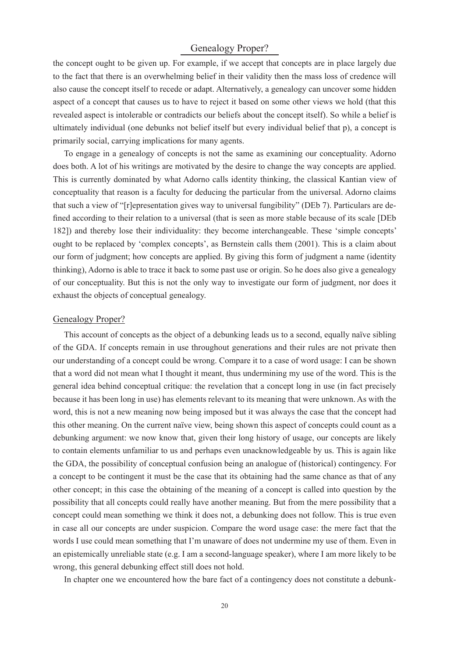# Genealogy Proper?

the concept ought to be given up. For example, if we accept that concepts are in place largely due to the fact that there is an overwhelming belief in their validity then the mass loss of credence will also cause the concept itself to recede or adapt. Alternatively, a genealogy can uncover some hidden aspect of a concept that causes us to have to reject it based on some other views we hold (that this revealed aspect is intolerable or contradicts our beliefs about the concept itself). So while a belief is ultimately individual (one debunks not belief itself but every individual belief that p), a concept is primarily social, carrying implications for many agents.

To engage in a genealogy of concepts is not the same as examining our conceptuality. Adorno does both. A lot of his writings are motivated by the desire to change the way concepts are applied. This is currently dominated by what Adorno calls identity thinking, the classical Kantian view of conceptuality that reason is a faculty for deducing the particular from the universal. Adorno claims that such a view of "[r]epresentation gives way to universal fungibility" (DEb 7). Particulars are defined according to their relation to a universal (that is seen as more stable because of its scale [DEb] 182]) and thereby lose their individuality: they become interchangeable. These 'simple concepts' ought to be replaced by 'complex concepts', as Bernstein calls them (2001). This is a claim about our form of judgment; how concepts are applied. By giving this form of judgment a name (identity thinking), Adorno is able to trace it back to some past use or origin. So he does also give a genealogy of our conceptuality. But this is not the only way to investigate our form of judgment, nor does it exhaust the objects of conceptual genealogy.

#### Genealogy Proper?

This account of concepts as the object of a debunking leads us to a second, equally naïve sibling of the GDA. If concepts remain in use throughout generations and their rules are not private then our understanding of a concept could be wrong. Compare it to a case of word usage: I can be shown that a word did not mean what I thought it meant, thus undermining my use of the word. This is the general idea behind conceptual critique: the revelation that a concept long in use (in fact precisely because it has been long in use) has elements relevant to its meaning that were unknown. As with the word, this is not a new meaning now being imposed but it was always the case that the concept had this other meaning. On the current naïve view, being shown this aspect of concepts could count as a debunking argument: we now know that, given their long history of usage, our concepts are likely to contain elements unfamiliar to us and perhaps even unacknowledgeable by us. This is again like the GDA, the possibility of conceptual confusion being an analogue of (historical) contingency. For a concept to be contingent it must be the case that its obtaining had the same chance as that of any other concept; in this case the obtaining of the meaning of a concept is called into question by the possibility that all concepts could really have another meaning. But from the mere possibility that a concept could mean something we think it does not, a debunking does not follow. This is true even in case all our concepts are under suspicion. Compare the word usage case: the mere fact that the words I use could mean something that I'm unaware of does not undermine my use of them. Even in an epistemically unreliable state (e.g. I am a second-language speaker), where I am more likely to be wrong, this general debunking effect still does not hold.

In chapter one we encountered how the bare fact of a contingency does not constitute a debunk-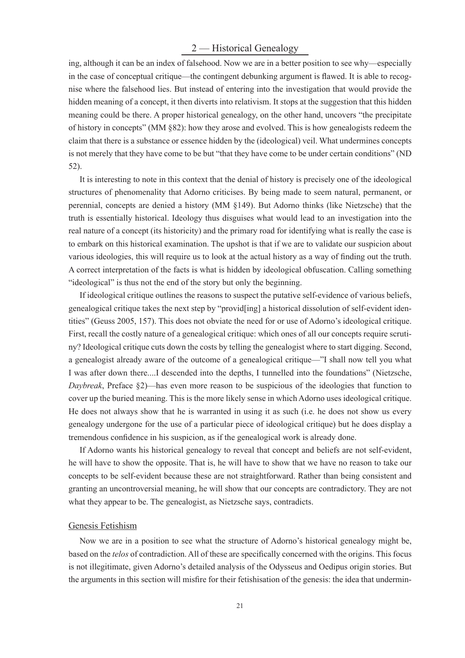# 2 — Historical Genealogy

ing, although it can be an index of falsehood. Now we are in a better position to see why—especially in the case of conceptual critique—the contingent debunking argument is flawed. It is able to recognise where the falsehood lies. But instead of entering into the investigation that would provide the hidden meaning of a concept, it then diverts into relativism. It stops at the suggestion that this hidden meaning could be there. A proper historical genealogy, on the other hand, uncovers "the precipitate of history in concepts" (MM §82): how they arose and evolved. This is how genealogists redeem the claim that there is a substance or essence hidden by the (ideological) veil. What undermines concepts is not merely that they have come to be but "that they have come to be under certain conditions" (ND 52).

It is interesting to note in this context that the denial of history is precisely one of the ideological structures of phenomenality that Adorno criticises. By being made to seem natural, permanent, or perennial, concepts are denied a history (MM §149). But Adorno thinks (like Nietzsche) that the truth is essentially historical. Ideology thus disguises what would lead to an investigation into the real nature of a concept (its historicity) and the primary road for identifying what is really the case is to embark on this historical examination. The upshot is that if we are to validate our suspicion about various ideologies, this will require us to look at the actual history as a way of finding out the truth. A correct interpretation of the facts is what is hidden by ideological obfuscation. Calling something "ideological" is thus not the end of the story but only the beginning.

If ideological critique outlines the reasons to suspect the putative self-evidence of various beliefs, genealogical critique takes the next step by "provid[ing] a historical dissolution of self-evident identities" (Geuss 2005, 157). This does not obviate the need for or use of Adorno's ideological critique. First, recall the costly nature of a genealogical critique: which ones of all our concepts require scrutiny? Ideological critique cuts down the costs by telling the genealogist where to start digging. Second, a genealogist already aware of the outcome of a genealogical critique—"I shall now tell you what I was after down there....I descended into the depths, I tunnelled into the foundations" (Nietzsche, *Daybreak*, Preface §2)—has even more reason to be suspicious of the ideologies that function to cover up the buried meaning. This is the more likely sense in which Adorno uses ideological critique. He does not always show that he is warranted in using it as such (i.e. he does not show us every genealogy undergone for the use of a particular piece of ideological critique) but he does display a tremendous confidence in his suspicion, as if the genealogical work is already done.

If Adorno wants his historical genealogy to reveal that concept and beliefs are not self-evident, he will have to show the opposite. That is, he will have to show that we have no reason to take our concepts to be self-evident because these are not straightforward. Rather than being consistent and granting an uncontroversial meaning, he will show that our concepts are contradictory. They are not what they appear to be. The genealogist, as Nietzsche says, contradicts.

#### Genesis Fetishism

Now we are in a position to see what the structure of Adorno's historical genealogy might be, based on the *telos* of contradiction. All of these are specifically concerned with the origins. This focus is not illegitimate, given Adorno's detailed analysis of the Odysseus and Oedipus origin stories. But the arguments in this section will misfire for their fetishisation of the genesis: the idea that undermin-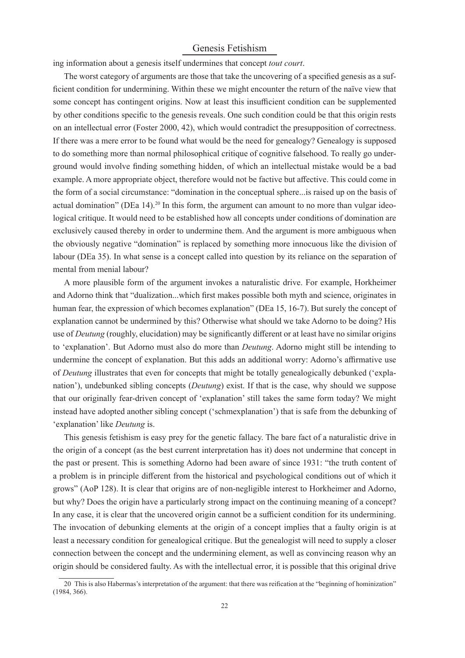# Genesis Fetishism

ing information about a genesis itself undermines that concept *tout court*.

The worst category of arguments are those that take the uncovering of a specified genesis as a sufficient condition for undermining. Within these we might encounter the return of the naïve view that some concept has contingent origins. Now at least this insufficient condition can be supplemented by other conditions specific to the genesis reveals. One such condition could be that this origin rests on an intellectual error (Foster 2000, 42), which would contradict the presupposition of correctness. If there was a mere error to be found what would be the need for genealogy? Genealogy is supposed to do something more than normal philosophical critique of cognitive falsehood. To really go underground would involve finding something hidden, of which an intellectual mistake would be a bad example. A more appropriate object, therefore would not be factive but affective. This could come in the form of a social circumstance: "domination in the conceptual sphere...is raised up on the basis of actual domination" (DEa 14).<sup>20</sup> In this form, the argument can amount to no more than vulgar ideological critique. It would need to be established how all concepts under conditions of domination are exclusively caused thereby in order to undermine them. And the argument is more ambiguous when the obviously negative "domination" is replaced by something more innocuous like the division of labour (DEa 35). In what sense is a concept called into question by its reliance on the separation of mental from menial labour?

A more plausible form of the argument invokes a naturalistic drive. For example, Horkheimer and Adorno think that "dualization...which first makes possible both myth and science, originates in human fear, the expression of which becomes explanation" (DEa 15, 16-7). But surely the concept of explanation cannot be undermined by this? Otherwise what should we take Adorno to be doing? His use of *Deutung* (roughly, elucidation) may be significantly different or at least have no similar origins to 'explanation'. But Adorno must also do more than *Deutung*. Adorno might still be intending to undermine the concept of explanation. But this adds an additional worry: Adorno's affirmative use of *Deutung* illustrates that even for concepts that might be totally genealogically debunked ('explanation'), undebunked sibling concepts (*Deutung*) exist. If that is the case, why should we suppose that our originally fear-driven concept of 'explanation' still takes the same form today? We might instead have adopted another sibling concept ('schmexplanation') that is safe from the debunking of 'explanation' like *Deutung* is.

This genesis fetishism is easy prey for the genetic fallacy. The bare fact of a naturalistic drive in the origin of a concept (as the best current interpretation has it) does not undermine that concept in the past or present. This is something Adorno had been aware of since 1931: "the truth content of a problem is in principle different from the historical and psychological conditions out of which it grows" (AoP 128). It is clear that origins are of non-negligible interest to Horkheimer and Adorno, but why? Does the origin have a particularly strong impact on the continuing meaning of a concept? In any case, it is clear that the uncovered origin cannot be a sufficient condition for its undermining. The invocation of debunking elements at the origin of a concept implies that a faulty origin is at least a necessary condition for genealogical critique. But the genealogist will need to supply a closer connection between the concept and the undermining element, as well as convincing reason why an origin should be considered faulty. As with the intellectual error, it is possible that this original drive

<sup>20</sup> This is also Habermas's interpretation of the argument: that there was reification at the "beginning of hominization" (1984, 366).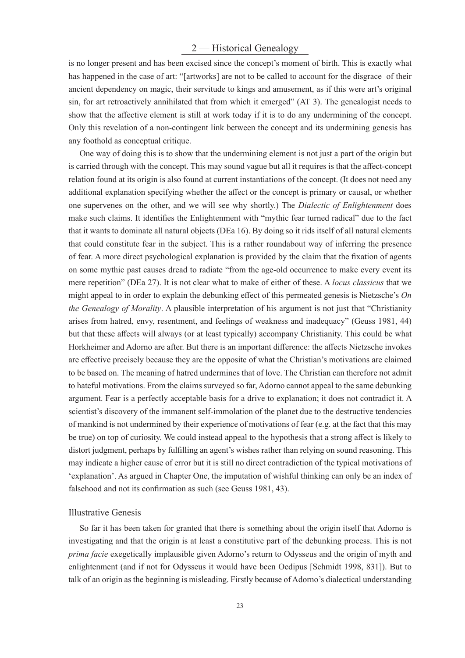# 2 — Historical Genealogy

is no longer present and has been excised since the concept's moment of birth. This is exactly what has happened in the case of art: "[artworks] are not to be called to account for the disgrace of their ancient dependency on magic, their servitude to kings and amusement, as if this were art's original sin, for art retroactively annihilated that from which it emerged" (AT 3). The genealogist needs to show that the affective element is still at work today if it is to do any undermining of the concept. Only this revelation of a non-contingent link between the concept and its undermining genesis has any foothold as conceptual critique.

One way of doing this is to show that the undermining element is not just a part of the origin but is carried through with the concept. This may sound vague but all it requires is that the affect-concept relation found at its origin is also found at current instantiations of the concept. (It does not need any additional explanation specifying whether the affect or the concept is primary or causal, or whether one supervenes on the other, and we will see why shortly.) The *Dialectic of Enlightenment* does make such claims. It identifies the Enlightenment with "mythic fear turned radical" due to the fact that it wants to dominate all natural objects (DEa 16). By doing so it rids itself of all natural elements that could constitute fear in the subject. This is a rather roundabout way of inferring the presence of fear. A more direct psychological explanation is provided by the claim that the fixation of agents on some mythic past causes dread to radiate "from the age-old occurrence to make every event its mere repetition" (DEa 27). It is not clear what to make of either of these. A *locus classicus* that we might appeal to in order to explain the debunking effect of this permeated genesis is Nietzsche's *On the Genealogy of Morality*. A plausible interpretation of his argument is not just that "Christianity arises from hatred, envy, resentment, and feelings of weakness and inadequacy" (Geuss 1981, 44) but that these affects will always (or at least typically) accompany Christianity. This could be what Horkheimer and Adorno are after. But there is an important difference: the affects Nietzsche invokes are effective precisely because they are the opposite of what the Christian's motivations are claimed to be based on. The meaning of hatred undermines that of love. The Christian can therefore not admit to hateful motivations. From the claims surveyed so far, Adorno cannot appeal to the same debunking argument. Fear is a perfectly acceptable basis for a drive to explanation; it does not contradict it. A scientist's discovery of the immanent self-immolation of the planet due to the destructive tendencies of mankind is not undermined by their experience of motivations of fear (e.g. at the fact that this may be true) on top of curiosity. We could instead appeal to the hypothesis that a strong affect is likely to distort judgment, perhaps by fulfilling an agent's wishes rather than relying on sound reasoning. This may indicate a higher cause of error but it is still no direct contradiction of the typical motivations of 'explanation'. As argued in Chapter One, the imputation of wishful thinking can only be an index of falsehood and not its confirmation as such (see Geuss 1981, 43).

#### Illustrative Genesis

So far it has been taken for granted that there is something about the origin itself that Adorno is investigating and that the origin is at least a constitutive part of the debunking process. This is not *prima facie* exegetically implausible given Adorno's return to Odysseus and the origin of myth and enlightenment (and if not for Odysseus it would have been Oedipus [Schmidt 1998, 831]). But to talk of an origin as the beginning is misleading. Firstly because of Adorno's dialectical understanding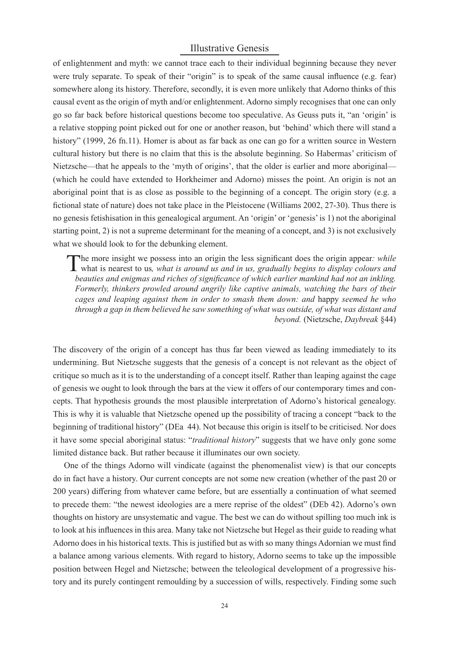# Illustrative Genesis

of enlightenment and myth: we cannot trace each to their individual beginning because they never were truly separate. To speak of their "origin" is to speak of the same causal influence (e.g. fear) somewhere along its history. Therefore, secondly, it is even more unlikely that Adorno thinks of this causal event as the origin of myth and/or enlightenment. Adorno simply recognises that one can only go so far back before historical questions become too speculative. As Geuss puts it, "an 'origin' is a relative stopping point picked out for one or another reason, but 'behind' which there will stand a history" (1999, 26 fn.11). Homer is about as far back as one can go for a written source in Western cultural history but there is no claim that this is the absolute beginning. So Habermas' criticism of Nietzsche—that he appeals to the 'myth of origins', that the older is earlier and more aboriginal— (which he could have extended to Horkheimer and Adorno) misses the point. An origin is not an aboriginal point that is as close as possible to the beginning of a concept. The origin story (e.g. a fictional state of nature) does not take place in the Pleistocene (Williams 2002, 27-30). Thus there is no genesis fetishisation in this genealogical argument. An 'origin' or 'genesis' is 1) not the aboriginal starting point, 2) is not a supreme determinant for the meaning of a concept, and 3) is not exclusively what we should look to for the debunking element.

The more insight we possess into an origin the less significant does the origin appear: while what is nearest to us, what is around us and in us, gradually begins to display colours and The more insight we possess into an origin the less significant does the origin appear; *while beauties and enigmas and riches of significance of which earlier mankind had not an inkling. Formerly, thinkers prowled around angrily like captive animals, watching the bars of their cages and leaping against them in order to smash them down: and* happy *seemed he who through a gap in them believed he saw something of what was outside, of what was distant and beyond.* (Nietzsche, *Daybreak* §44)

The discovery of the origin of a concept has thus far been viewed as leading immediately to its undermining. But Nietzsche suggests that the genesis of a concept is not relevant as the object of critique so much as it is to the understanding of a concept itself. Rather than leaping against the cage of genesis we ought to look through the bars at the view it offers of our contemporary times and concepts. That hypothesis grounds the most plausible interpretation of Adorno's historical genealogy. This is why it is valuable that Nietzsche opened up the possibility of tracing a concept "back to the beginning of traditional history" (DEa 44). Not because this origin is itself to be criticised. Nor does it have some special aboriginal status: "*traditional history*" suggests that we have only gone some limited distance back. But rather because it illuminates our own society.

One of the things Adorno will vindicate (against the phenomenalist view) is that our concepts do in fact have a history. Our current concepts are not some new creation (whether of the past 20 or 200 years) diff ering from whatever came before, but are essentially a continuation of what seemed to precede them: "the newest ideologies are a mere reprise of the oldest" (DEb 42). Adorno's own thoughts on history are unsystematic and vague. The best we can do without spilling too much ink is to look at his influences in this area. Many take not Nietzsche but Hegel as their guide to reading what Adorno does in his historical texts. This is justified but as with so many things Adornian we must find a balance among various elements. With regard to history, Adorno seems to take up the impossible position between Hegel and Nietzsche; between the teleological development of a progressive history and its purely contingent remoulding by a succession of wills, respectively. Finding some such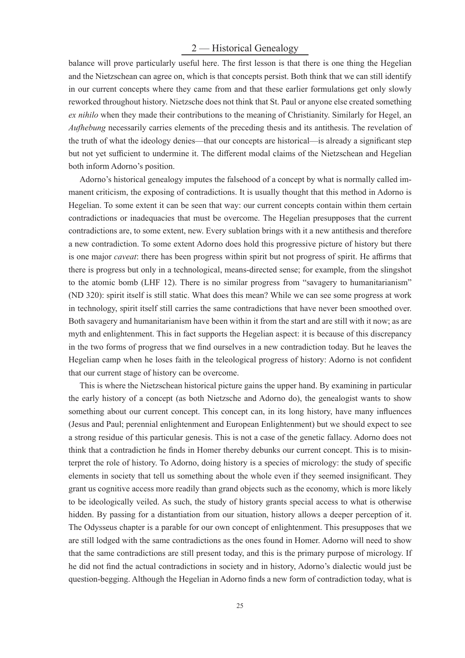# 2 — Historical Genealogy

balance will prove particularly useful here. The first lesson is that there is one thing the Hegelian and the Nietzschean can agree on, which is that concepts persist. Both think that we can still identify in our current concepts where they came from and that these earlier formulations get only slowly reworked throughout history. Nietzsche does not think that St. Paul or anyone else created something *ex nihilo* when they made their contributions to the meaning of Christianity. Similarly for Hegel, an *Aufhebung* necessarily carries elements of the preceding thesis and its antithesis. The revelation of the truth of what the ideology denies—that our concepts are historical—is already a significant step but not yet sufficient to undermine it. The different modal claims of the Nietzschean and Hegelian both inform Adorno's position.

Adorno's historical genealogy imputes the falsehood of a concept by what is normally called immanent criticism, the exposing of contradictions. It is usually thought that this method in Adorno is Hegelian. To some extent it can be seen that way: our current concepts contain within them certain contradictions or inadequacies that must be overcome. The Hegelian presupposes that the current contradictions are, to some extent, new. Every sublation brings with it a new antithesis and therefore a new contradiction. To some extent Adorno does hold this progressive picture of history but there is one major *caveat*: there has been progress within spirit but not progress of spirit. He affirms that there is progress but only in a technological, means-directed sense; for example, from the slingshot to the atomic bomb (LHF 12). There is no similar progress from "savagery to humanitarianism" (ND 320): spirit itself is still static. What does this mean? While we can see some progress at work in technology, spirit itself still carries the same contradictions that have never been smoothed over. Both savagery and humanitarianism have been within it from the start and are still with it now; as are myth and enlightenment. This in fact supports the Hegelian aspect: it is because of this discrepancy in the two forms of progress that we find ourselves in a new contradiction today. But he leaves the Hegelian camp when he loses faith in the teleological progress of history: Adorno is not confident that our current stage of history can be overcome.

This is where the Nietzschean historical picture gains the upper hand. By examining in particular the early history of a concept (as both Nietzsche and Adorno do), the genealogist wants to show something about our current concept. This concept can, in its long history, have many influences (Jesus and Paul; perennial enlightenment and European Enlightenment) but we should expect to see a strong residue of this particular genesis. This is not a case of the genetic fallacy. Adorno does not think that a contradiction he finds in Homer thereby debunks our current concept. This is to misinterpret the role of history. To Adorno, doing history is a species of micrology: the study of specific elements in society that tell us something about the whole even if they seemed insignificant. They grant us cognitive access more readily than grand objects such as the economy, which is more likely to be ideologically veiled. As such, the study of history grants special access to what is otherwise hidden. By passing for a distantiation from our situation, history allows a deeper perception of it. The Odysseus chapter is a parable for our own concept of enlightenment. This presupposes that we are still lodged with the same contradictions as the ones found in Homer. Adorno will need to show that the same contradictions are still present today, and this is the primary purpose of micrology. If he did not find the actual contradictions in society and in history, Adorno's dialectic would just be question-begging. Although the Hegelian in Adorno finds a new form of contradiction today, what is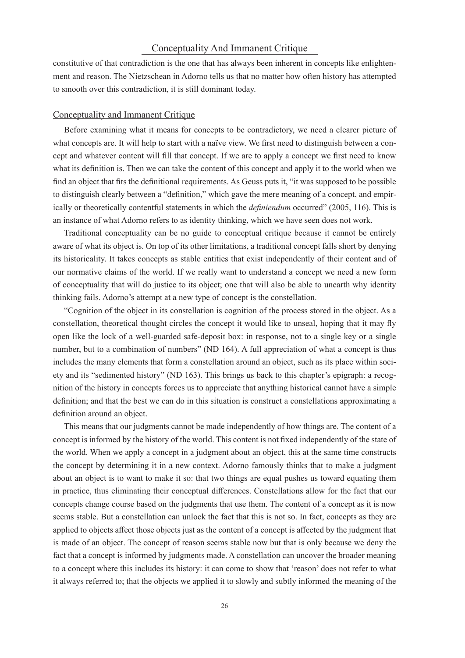### Conceptuality And Immanent Critique

constitutive of that contradiction is the one that has always been inherent in concepts like enlightenment and reason. The Nietzschean in Adorno tells us that no matter how often history has attempted to smooth over this contradiction, it is still dominant today.

#### Conceptuality and Immanent Critique

Before examining what it means for concepts to be contradictory, we need a clearer picture of what concepts are. It will help to start with a naïve view. We first need to distinguish between a concept and whatever content will fill that concept. If we are to apply a concept we first need to know what its definition is. Then we can take the content of this concept and apply it to the world when we find an object that fits the definitional requirements. As Geuss puts it, "it was supposed to be possible to distinguish clearly between a "definition," which gave the mere meaning of a concept, and empirically or theoretically contentful statements in which the *definiendum* occurred" (2005, 116). This is an instance of what Adorno refers to as identity thinking, which we have seen does not work.

Traditional conceptuality can be no guide to conceptual critique because it cannot be entirely aware of what its object is. On top of its other limitations, a traditional concept falls short by denying its historicality. It takes concepts as stable entities that exist independently of their content and of our normative claims of the world. If we really want to understand a concept we need a new form of conceptuality that will do justice to its object; one that will also be able to unearth why identity thinking fails. Adorno's attempt at a new type of concept is the constellation.

"Cognition of the object in its constellation is cognition of the process stored in the object. As a constellation, theoretical thought circles the concept it would like to unseal, hoping that it may fly open like the lock of a well-guarded safe-deposit box: in response, not to a single key or a single number, but to a combination of numbers" (ND 164). A full appreciation of what a concept is thus includes the many elements that form a constellation around an object, such as its place within society and its "sedimented history" (ND 163). This brings us back to this chapter's epigraph: a recognition of the history in concepts forces us to appreciate that anything historical cannot have a simple definition; and that the best we can do in this situation is construct a constellations approximating a definition around an object.

This means that our judgments cannot be made independently of how things are. The content of a concept is informed by the history of the world. This content is not fixed independently of the state of the world. When we apply a concept in a judgment about an object, this at the same time constructs the concept by determining it in a new context. Adorno famously thinks that to make a judgment about an object is to want to make it so: that two things are equal pushes us toward equating them in practice, thus eliminating their conceptual differences. Constellations allow for the fact that our concepts change course based on the judgments that use them. The content of a concept as it is now seems stable. But a constellation can unlock the fact that this is not so. In fact, concepts as they are applied to objects affect those objects just as the content of a concept is affected by the judgment that is made of an object. The concept of reason seems stable now but that is only because we deny the fact that a concept is informed by judgments made. A constellation can uncover the broader meaning to a concept where this includes its history: it can come to show that 'reason' does not refer to what it always referred to; that the objects we applied it to slowly and subtly informed the meaning of the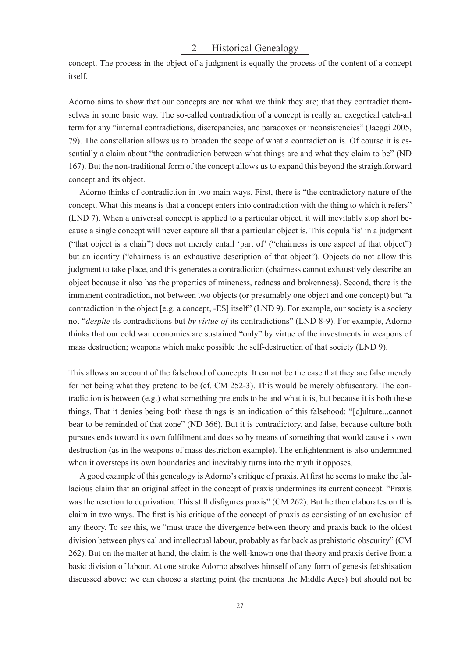# 2 — Historical Genealogy

concept. The process in the object of a judgment is equally the process of the content of a concept itself.

Adorno aims to show that our concepts are not what we think they are; that they contradict themselves in some basic way. The so-called contradiction of a concept is really an exegetical catch-all term for any "internal contradictions, discrepancies, and paradoxes or inconsistencies" (Jaeggi 2005, 79). The constellation allows us to broaden the scope of what a contradiction is. Of course it is essentially a claim about "the contradiction between what things are and what they claim to be" (ND 167). But the non-traditional form of the concept allows us to expand this beyond the straightforward concept and its object.

Adorno thinks of contradiction in two main ways. First, there is "the contradictory nature of the concept. What this means is that a concept enters into contradiction with the thing to which it refers" (LND 7). When a universal concept is applied to a particular object, it will inevitably stop short because a single concept will never capture all that a particular object is. This copula 'is' in a judgment ("that object is a chair") does not merely entail 'part of' ("chairness is one aspect of that object") but an identity ("chairness is an exhaustive description of that object"). Objects do not allow this judgment to take place, and this generates a contradiction (chairness cannot exhaustively describe an object because it also has the properties of mineness, redness and brokenness). Second, there is the immanent contradiction, not between two objects (or presumably one object and one concept) but "a contradiction in the object [e.g. a concept, -ES] itself" (LND 9). For example, our society is a society not "*despite* its contradictions but *by virtue of* its contradictions" (LND 8-9). For example, Adorno thinks that our cold war economies are sustained "only" by virtue of the investments in weapons of mass destruction; weapons which make possible the self-destruction of that society (LND 9).

This allows an account of the falsehood of concepts. It cannot be the case that they are false merely for not being what they pretend to be (cf. CM 252-3). This would be merely obfuscatory. The contradiction is between (e.g.) what something pretends to be and what it is, but because it is both these things. That it denies being both these things is an indication of this falsehood: "[c]ulture...cannot bear to be reminded of that zone" (ND 366). But it is contradictory, and false, because culture both pursues ends toward its own fulfilment and does so by means of something that would cause its own destruction (as in the weapons of mass destriction example). The enlightenment is also undermined when it oversteps its own boundaries and inevitably turns into the myth it opposes.

A good example of this genealogy is Adorno's critique of praxis. At first he seems to make the fallacious claim that an original affect in the concept of praxis undermines its current concept. "Praxis was the reaction to deprivation. This still disfigures praxis" (CM 262). But he then elaborates on this claim in two ways. The first is his critique of the concept of praxis as consisting of an exclusion of any theory. To see this, we "must trace the divergence between theory and praxis back to the oldest division between physical and intellectual labour, probably as far back as prehistoric obscurity" (CM 262). But on the matter at hand, the claim is the well-known one that theory and praxis derive from a basic division of labour. At one stroke Adorno absolves himself of any form of genesis fetishisation discussed above: we can choose a starting point (he mentions the Middle Ages) but should not be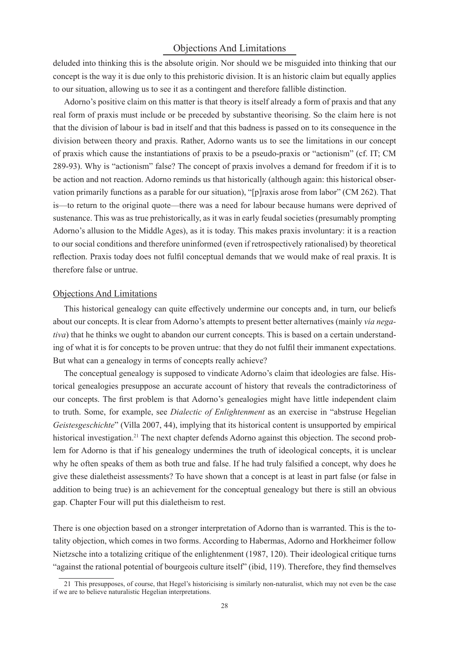#### Objections And Limitations

deluded into thinking this is the absolute origin. Nor should we be misguided into thinking that our concept is the way it is due only to this prehistoric division. It is an historic claim but equally applies to our situation, allowing us to see it as a contingent and therefore fallible distinction.

Adorno's positive claim on this matter is that theory is itself already a form of praxis and that any real form of praxis must include or be preceded by substantive theorising. So the claim here is not that the division of labour is bad in itself and that this badness is passed on to its consequence in the division between theory and praxis. Rather, Adorno wants us to see the limitations in our concept of praxis which cause the instantiations of praxis to be a pseudo-praxis or "actionism" (cf. IT; CM 289-93). Why is "actionism" false? The concept of praxis involves a demand for freedom if it is to be action and not reaction. Adorno reminds us that historically (although again: this historical observation primarily functions as a parable for our situation), "[p]raxis arose from labor" (CM 262). That is—to return to the original quote—there was a need for labour because humans were deprived of sustenance. This was as true prehistorically, as it was in early feudal societies (presumably prompting Adorno's allusion to the Middle Ages), as it is today. This makes praxis involuntary: it is a reaction to our social conditions and therefore uninformed (even if retrospectively rationalised) by theoretical reflection. Praxis today does not fulfil conceptual demands that we would make of real praxis. It is therefore false or untrue.

#### Objections And Limitations

This historical genealogy can quite effectively undermine our concepts and, in turn, our beliefs about our concepts. It is clear from Adorno's attempts to present better alternatives (mainly *via negativa*) that he thinks we ought to abandon our current concepts. This is based on a certain understanding of what it is for concepts to be proven untrue: that they do not fulfil their immanent expectations. But what can a genealogy in terms of concepts really achieve?

The conceptual genealogy is supposed to vindicate Adorno's claim that ideologies are false. Historical genealogies presuppose an accurate account of history that reveals the contradictoriness of our concepts. The first problem is that Adorno's genealogies might have little independent claim to truth. Some, for example, see *Dialectic of Enlightenment* as an exercise in "abstruse Hegelian *Geistesgeschichte*" (Villa 2007, 44), implying that its historical content is unsupported by empirical historical investigation.<sup>21</sup> The next chapter defends Adorno against this objection. The second problem for Adorno is that if his genealogy undermines the truth of ideological concepts, it is unclear why he often speaks of them as both true and false. If he had truly falsified a concept, why does he give these dialetheist assessments? To have shown that a concept is at least in part false (or false in addition to being true) is an achievement for the conceptual genealogy but there is still an obvious gap. Chapter Four will put this dialetheism to rest.

There is one objection based on a stronger interpretation of Adorno than is warranted. This is the totality objection, which comes in two forms. According to Habermas, Adorno and Horkheimer follow Nietzsche into a totalizing critique of the enlightenment (1987, 120). Their ideological critique turns "against the rational potential of bourgeois culture itself" (ibid, 119). Therefore, they find themselves

<sup>21</sup> This presupposes, of course, that Hegel's historicising is similarly non-naturalist, which may not even be the case if we are to believe naturalistic Hegelian interpretations.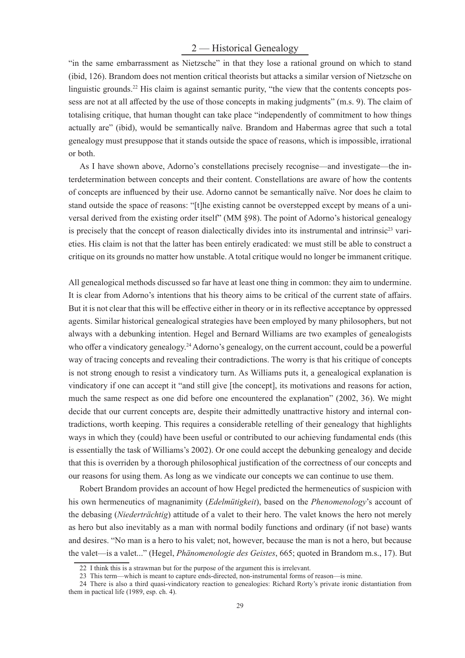# 2 — Historical Genealogy

"in the same embarrassment as Nietzsche" in that they lose a rational ground on which to stand (ibid, 126). Brandom does not mention critical theorists but attacks a similar version of Nietzsche on linguistic grounds.<sup>22</sup> His claim is against semantic purity, "the view that the contents concepts possess are not at all affected by the use of those concepts in making judgments" (m.s. 9). The claim of totalising critique, that human thought can take place "independently of commitment to how things actually are" (ibid), would be semantically naïve. Brandom and Habermas agree that such a total genealogy must presuppose that it stands outside the space of reasons, which is impossible, irrational or both.

As I have shown above, Adorno's constellations precisely recognise—and investigate—the interdetermination between concepts and their content. Constellations are aware of how the contents of concepts are influenced by their use. Adorno cannot be semantically naïve. Nor does he claim to stand outside the space of reasons: "[t]he existing cannot be overstepped except by means of a universal derived from the existing order itself" (MM §98). The point of Adorno's historical genealogy is precisely that the concept of reason dialectically divides into its instrumental and intrinsic<sup>23</sup> varieties. His claim is not that the latter has been entirely eradicated: we must still be able to construct a critique on its grounds no matter how unstable. A total critique would no longer be immanent critique.

All genealogical methods discussed so far have at least one thing in common: they aim to undermine. It is clear from Adorno's intentions that his theory aims to be critical of the current state of affairs. But it is not clear that this will be effective either in theory or in its reflective acceptance by oppressed agents. Similar historical genealogical strategies have been employed by many philosophers, but not always with a debunking intention. Hegel and Bernard Williams are two examples of genealogists who offer a vindicatory genealogy.<sup>24</sup> Adorno's genealogy, on the current account, could be a powerful way of tracing concepts and revealing their contradictions. The worry is that his critique of concepts is not strong enough to resist a vindicatory turn. As Williams puts it, a genealogical explanation is vindicatory if one can accept it "and still give [the concept], its motivations and reasons for action, much the same respect as one did before one encountered the explanation" (2002, 36). We might decide that our current concepts are, despite their admittedly unattractive history and internal contradictions, worth keeping. This requires a considerable retelling of their genealogy that highlights ways in which they (could) have been useful or contributed to our achieving fundamental ends (this is essentially the task of Williams's 2002). Or one could accept the debunking genealogy and decide that this is overriden by a thorough philosophical justification of the correctness of our concepts and our reasons for using them. As long as we vindicate our concepts we can continue to use them.

Robert Brandom provides an account of how Hegel predicted the hermeneutics of suspicion with his own hermeneutics of magnanimity (*Edelmütigkeit*), based on the *Phenomenology*'s account of the debasing (*Niederträchtig*) attitude of a valet to their hero. The valet knows the hero not merely as hero but also inevitably as a man with normal bodily functions and ordinary (if not base) wants and desires. "No man is a hero to his valet; not, however, because the man is not a hero, but because the valet—is a valet..." (Hegel, *Phänomenologie des Geistes*, 665; quoted in Brandom m.s., 17). But

<sup>22</sup> I think this is a strawman but for the purpose of the argument this is irrelevant.

<sup>23</sup> This term—which is meant to capture ends-directed, non-instrumental forms of reason—is mine.

<sup>24</sup> There is also a third quasi-vindicatory reaction to genealogies: Richard Rorty's private ironic distantiation from them in pactical life (1989, esp. ch. 4).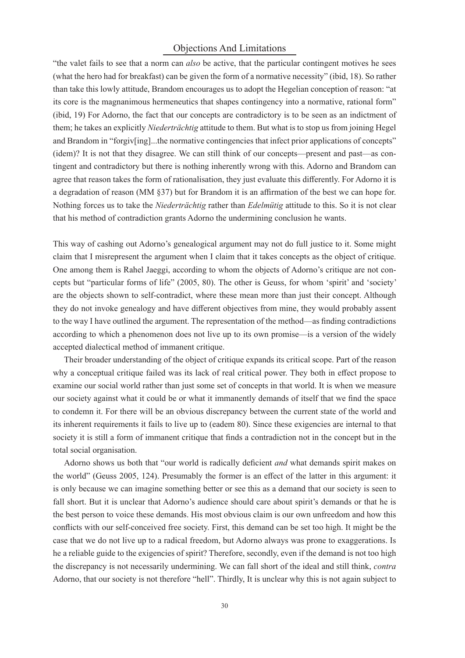#### Objections And Limitations

"the valet fails to see that a norm can *also* be active, that the particular contingent motives he sees (what the hero had for breakfast) can be given the form of a normative necessity" (ibid, 18). So rather than take this lowly attitude, Brandom encourages us to adopt the Hegelian conception of reason: "at its core is the magnanimous hermeneutics that shapes contingency into a normative, rational form" (ibid, 19) For Adorno, the fact that our concepts are contradictory is to be seen as an indictment of them; he takes an explicitly *Niederträchtig* attitude to them. But what is to stop us from joining Hegel and Brandom in "forgiv[ing]...the normative contingencies that infect prior applications of concepts" (idem)? It is not that they disagree. We can still think of our concepts—present and past—as contingent and contradictory but there is nothing inherently wrong with this. Adorno and Brandom can agree that reason takes the form of rationalisation, they just evaluate this differently. For Adorno it is a degradation of reason (MM §37) but for Brandom it is an affirmation of the best we can hope for. Nothing forces us to take the *Niederträchtig* rather than *Edelmütig* attitude to this. So it is not clear that his method of contradiction grants Adorno the undermining conclusion he wants.

This way of cashing out Adorno's genealogical argument may not do full justice to it. Some might claim that I misrepresent the argument when I claim that it takes concepts as the object of critique. One among them is Rahel Jaeggi, according to whom the objects of Adorno's critique are not concepts but "particular forms of life" (2005, 80). The other is Geuss, for whom 'spirit' and 'society' are the objects shown to self-contradict, where these mean more than just their concept. Although they do not invoke genealogy and have different objectives from mine, they would probably assent to the way I have outlined the argument. The representation of the method—as finding contradictions according to which a phenomenon does not live up to its own promise—is a version of the widely accepted dialectical method of immanent critique.

Their broader understanding of the object of critique expands its critical scope. Part of the reason why a conceptual critique failed was its lack of real critical power. They both in effect propose to examine our social world rather than just some set of concepts in that world. It is when we measure our society against what it could be or what it immanently demands of itself that we find the space to condemn it. For there will be an obvious discrepancy between the current state of the world and its inherent requirements it fails to live up to (eadem 80). Since these exigencies are internal to that society it is still a form of immanent critique that finds a contradiction not in the concept but in the total social organisation.

Adorno shows us both that "our world is radically deficient *and* what demands spirit makes on the world" (Geuss 2005, 124). Presumably the former is an effect of the latter in this argument: it is only because we can imagine something better or see this as a demand that our society is seen to fall short. But it is unclear that Adorno's audience should care about spirit's demands or that he is the best person to voice these demands. His most obvious claim is our own unfreedom and how this conflicts with our self-conceived free society. First, this demand can be set too high. It might be the case that we do not live up to a radical freedom, but Adorno always was prone to exaggerations. Is he a reliable guide to the exigencies of spirit? Therefore, secondly, even if the demand is not too high the discrepancy is not necessarily undermining. We can fall short of the ideal and still think, *contra* Adorno, that our society is not therefore "hell". Thirdly, It is unclear why this is not again subject to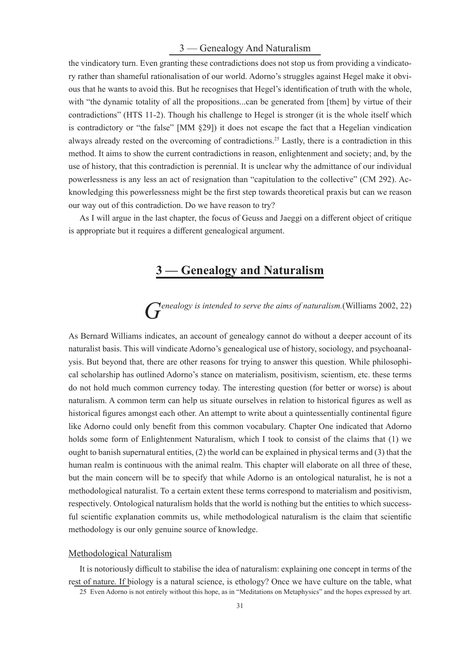# 3 — Genealogy And Naturalism

the vindicatory turn. Even granting these contradictions does not stop us from providing a vindicatory rather than shameful rationalisation of our world. Adorno's struggles against Hegel make it obvious that he wants to avoid this. But he recognises that Hegel's identification of truth with the whole, with "the dynamic totality of all the propositions...can be generated from [them] by virtue of their contradictions" (HTS 11-2). Though his challenge to Hegel is stronger (it is the whole itself which is contradictory or "the false" [MM §29]) it does not escape the fact that a Hegelian vindication always already rested on the overcoming of contradictions.<sup>25</sup> Lastly, there is a contradiction in this method. It aims to show the current contradictions in reason, enlightenment and society; and, by the use of history, that this contradiction is perennial. It is unclear why the admittance of our individual powerlessness is any less an act of resignation than "capitulation to the collective" (CM 292). Acknowledging this powerlessness might be the first step towards theoretical praxis but can we reason our way out of this contradiction. Do we have reason to try?

As I will argue in the last chapter, the focus of Geuss and Jaeggi on a different object of critique is appropriate but it requires a different genealogical argument.

# **3 — Genealogy and Naturalism**

# G<sub>enealogy is intended to serve the aims of naturalism.(Williams 2002, 22)</sub>

As Bernard Williams indicates, an account of genealogy cannot do without a deeper account of its naturalist basis. This will vindicate Adorno's genealogical use of history, sociology, and psychoanalysis. But beyond that, there are other reasons for trying to answer this question. While philosophical scholarship has outlined Adorno's stance on materialism, positivism, scientism, etc. these terms do not hold much common currency today. The interesting question (for better or worse) is about naturalism. A common term can help us situate ourselves in relation to historical figures as well as historical figures amongst each other. An attempt to write about a quintessentially continental figure like Adorno could only benefit from this common vocabulary. Chapter One indicated that Adorno holds some form of Enlightenment Naturalism, which I took to consist of the claims that (1) we ought to banish supernatural entities, (2) the world can be explained in physical terms and (3) that the human realm is continuous with the animal realm. This chapter will elaborate on all three of these, but the main concern will be to specify that while Adorno is an ontological naturalist, he is not a methodological naturalist. To a certain extent these terms correspond to materialism and positivism, respectively. Ontological naturalism holds that the world is nothing but the entities to which successful scientific explanation commits us, while methodological naturalism is the claim that scientific methodology is our only genuine source of knowledge.

### Methodological Naturalism

It is notoriously difficult to stabilise the idea of naturalism: explaining one concept in terms of the rest of nature. If biology is a natural science, is ethology? Once we have culture on the table, what 25 Even Adorno is not entirely without this hope, as in "Meditations on Metaphysics" and the hopes expressed by art.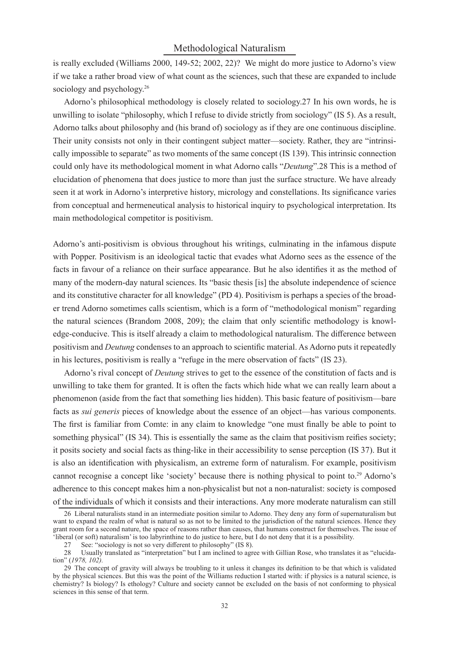# Methodological Naturalism

is really excluded (Williams 2000, 149-52; 2002, 22)? We might do more justice to Adorno's view if we take a rather broad view of what count as the sciences, such that these are expanded to include sociology and psychology.<sup>26</sup>

Adorno's philosophical methodology is closely related to sociology.27 In his own words, he is unwilling to isolate "philosophy, which I refuse to divide strictly from sociology" (IS 5). As a result, Adorno talks about philosophy and (his brand of) sociology as if they are one continuous discipline. Their unity consists not only in their contingent subject matter—society. Rather, they are "intrinsically impossible to separate" as two moments of the same concept (IS 139). This intrinsic connection could only have its methodological moment in what Adorno calls "*Deutung*".28 This is a method of elucidation of phenomena that does justice to more than just the surface structure. We have already seen it at work in Adorno's interpretive history, micrology and constellations. Its significance varies from conceptual and hermeneutical analysis to historical inquiry to psychological interpretation. Its main methodological competitor is positivism.

Adorno's anti-positivism is obvious throughout his writings, culminating in the infamous dispute with Popper. Positivism is an ideological tactic that evades what Adorno sees as the essence of the facts in favour of a reliance on their surface appearance. But he also identifies it as the method of many of the modern-day natural sciences. Its "basic thesis [is] the absolute independence of science and its constitutive character for all knowledge" (PD 4). Positivism is perhaps a species of the broader trend Adorno sometimes calls scientism, which is a form of "methodological monism" regarding the natural sciences (Brandom 2008, 209); the claim that only scientific methodology is knowledge-conducive. This is itself already a claim to methodological naturalism. The difference between positivism and *Deutung* condenses to an approach to scientific material. As Adorno puts it repeatedly in his lectures, positivism is really a "refuge in the mere observation of facts" (IS 23).

Adorno's rival concept of *Deutung* strives to get to the essence of the constitution of facts and is unwilling to take them for granted. It is often the facts which hide what we can really learn about a phenomenon (aside from the fact that something lies hidden). This basic feature of positivism—bare facts as *sui generis* pieces of knowledge about the essence of an object—has various components. The first is familiar from Comte: in any claim to knowledge "one must finally be able to point to something physical" (IS 34). This is essentially the same as the claim that positivism reifies society; it posits society and social facts as thing-like in their accessibility to sense perception (IS 37). But it is also an identification with physicalism, an extreme form of naturalism. For example, positivism cannot recognise a concept like 'society' because there is nothing physical to point to.<sup>29</sup> Adorno's adherence to this concept makes him a non-physicalist but not a non-naturalist: society is composed of the individuals of which it consists and their interactions. Any more moderate naturalism can still

<sup>26</sup> Liberal naturalists stand in an intermediate position similar to Adorno. They deny any form of supernaturalism but want to expand the realm of what is natural so as not to be limited to the jurisdiction of the natural sciences. Hence they grant room for a second nature, the space of reasons rather than causes, that humans construct for themselves. The issue of 'liberal (or soft) naturalism' is too labyrinthine to do justice to here, but I do not deny that it is a possibility.

<sup>27</sup> See: "sociology is not so very different to philosophy" (IS 8).

<sup>28</sup> Usually translated as "interpretation" but I am inclined to agree with Gillian Rose, who translates it as "elucidation" (*1978, 102).*

<sup>29</sup> The concept of gravity will always be troubling to it unless it changes its definition to be that which is validated by the physical sciences. But this was the point of the Williams reduction I started with: if physics is a natural science, is chemistry? Is biology? Is ethology? Culture and society cannot be excluded on the basis of not conforming to physical sciences in this sense of that term.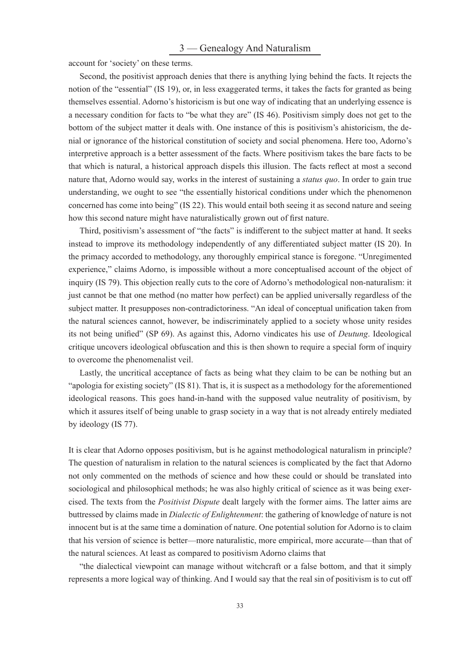account for 'society' on these terms.

Second, the positivist approach denies that there is anything lying behind the facts. It rejects the notion of the "essential" (IS 19), or, in less exaggerated terms, it takes the facts for granted as being themselves essential. Adorno's historicism is but one way of indicating that an underlying essence is a necessary condition for facts to "be what they are" (IS 46). Positivism simply does not get to the bottom of the subject matter it deals with. One instance of this is positivism's ahistoricism, the denial or ignorance of the historical constitution of society and social phenomena. Here too, Adorno's interpretive approach is a better assessment of the facts. Where positivism takes the bare facts to be that which is natural, a historical approach dispels this illusion. The facts reflect at most a second nature that, Adorno would say, works in the interest of sustaining a *status quo*. In order to gain true understanding, we ought to see "the essentially historical conditions under which the phenomenon concerned has come into being" (IS 22). This would entail both seeing it as second nature and seeing how this second nature might have naturalistically grown out of first nature.

Third, positivism's assessment of "the facts" is indifferent to the subject matter at hand. It seeks instead to improve its methodology independently of any differentiated subject matter (IS 20). In the primacy accorded to methodology, any thoroughly empirical stance is foregone. "Unregimented experience," claims Adorno, is impossible without a more conceptualised account of the object of inquiry (IS 79). This objection really cuts to the core of Adorno's methodological non-naturalism: it just cannot be that one method (no matter how perfect) can be applied universally regardless of the subject matter. It presupposes non-contradictoriness. "An ideal of conceptual unification taken from the natural sciences cannot, however, be indiscriminately applied to a society whose unity resides its not being unified" (SP 69). As against this, Adorno vindicates his use of *Deutung*. Ideological critique uncovers ideological obfuscation and this is then shown to require a special form of inquiry to overcome the phenomenalist veil.

Lastly, the uncritical acceptance of facts as being what they claim to be can be nothing but an "apologia for existing society" (IS 81). That is, it is suspect as a methodology for the aforementioned ideological reasons. This goes hand-in-hand with the supposed value neutrality of positivism, by which it assures itself of being unable to grasp society in a way that is not already entirely mediated by ideology (IS 77).

It is clear that Adorno opposes positivism, but is he against methodological naturalism in principle? The question of naturalism in relation to the natural sciences is complicated by the fact that Adorno not only commented on the methods of science and how these could or should be translated into sociological and philosophical methods; he was also highly critical of science as it was being exercised. The texts from the *Positivist Dispute* dealt largely with the former aims. The latter aims are buttressed by claims made in *Dialectic of Enlightenment*: the gathering of knowledge of nature is not innocent but is at the same time a domination of nature. One potential solution for Adorno is to claim that his version of science is better—more naturalistic, more empirical, more accurate—than that of the natural sciences. At least as compared to positivism Adorno claims that

"the dialectical viewpoint can manage without witchcraft or a false bottom, and that it simply represents a more logical way of thinking. And I would say that the real sin of positivism is to cut off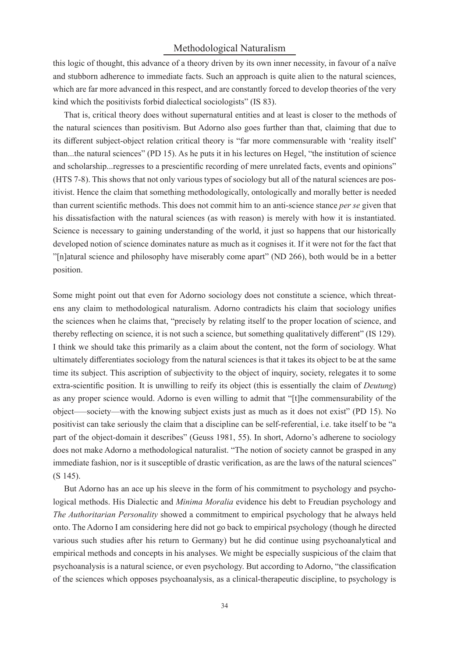# Methodological Naturalism

this logic of thought, this advance of a theory driven by its own inner necessity, in favour of a naïve and stubborn adherence to immediate facts. Such an approach is quite alien to the natural sciences, which are far more advanced in this respect, and are constantly forced to develop theories of the very kind which the positivists forbid dialectical sociologists" (IS 83).

That is, critical theory does without supernatural entities and at least is closer to the methods of the natural sciences than positivism. But Adorno also goes further than that, claiming that due to its different subject-object relation critical theory is "far more commensurable with 'reality itself' than...the natural sciences" (PD 15). As he puts it in his lectures on Hegel, "the institution of science and scholarship...regresses to a prescientific recording of mere unrelated facts, events and opinions" (HTS 7-8). This shows that not only various types of sociology but all of the natural sciences are positivist. Hence the claim that something methodologically, ontologically and morally better is needed than current scientific methods. This does not commit him to an anti-science stance *per se* given that his dissatisfaction with the natural sciences (as with reason) is merely with how it is instantiated. Science is necessary to gaining understanding of the world, it just so happens that our historically developed notion of science dominates nature as much as it cognises it. If it were not for the fact that "[n]atural science and philosophy have miserably come apart" (ND 266), both would be in a better position.

Some might point out that even for Adorno sociology does not constitute a science, which threatens any claim to methodological naturalism. Adorno contradicts his claim that sociology unifies the sciences when he claims that, "precisely by relating itself to the proper location of science, and thereby reflecting on science, it is not such a science, but something qualitatively different" (IS 129). I think we should take this primarily as a claim about the content, not the form of sociology. What ultimately differentiates sociology from the natural sciences is that it takes its object to be at the same time its subject. This ascription of subjectivity to the object of inquiry, society, relegates it to some extra-scientific position. It is unwilling to reify its object (this is essentially the claim of *Deutung*) as any proper science would. Adorno is even willing to admit that "[t]he commensurability of the object–—society—with the knowing subject exists just as much as it does not exist" (PD 15). No positivist can take seriously the claim that a discipline can be self-referential, i.e. take itself to be "a part of the object-domain it describes" (Geuss 1981, 55). In short, Adorno's adherene to sociology does not make Adorno a methodological naturalist. "The notion of society cannot be grasped in any immediate fashion, nor is it susceptible of drastic verification, as are the laws of the natural sciences" (S 145).

But Adorno has an ace up his sleeve in the form of his commitment to psychology and psychological methods. His Dialectic and *Minima Moralia* evidence his debt to Freudian psychology and *The Authoritarian Personality* showed a commitment to empirical psychology that he always held onto. The Adorno I am considering here did not go back to empirical psychology (though he directed various such studies after his return to Germany) but he did continue using psychoanalytical and empirical methods and concepts in his analyses. We might be especially suspicious of the claim that psychoanalysis is a natural science, or even psychology. But according to Adorno, "the classification of the sciences which opposes psychoanalysis, as a clinical-therapeutic discipline, to psychology is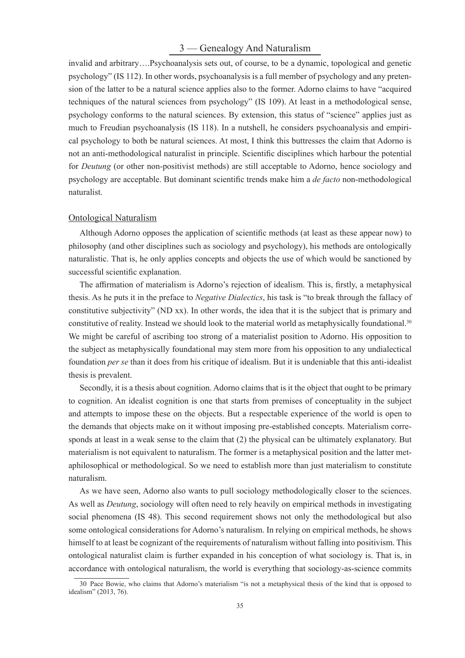# 3 — Genealogy And Naturalism

invalid and arbitrary….Psychoanalysis sets out, of course, to be a dynamic, topological and genetic psychology" (IS 112). In other words, psychoanalysis is a full member of psychology and any pretension of the latter to be a natural science applies also to the former. Adorno claims to have "acquired techniques of the natural sciences from psychology" (IS 109). At least in a methodological sense, psychology conforms to the natural sciences. By extension, this status of "science" applies just as much to Freudian psychoanalysis (IS 118). In a nutshell, he considers psychoanalysis and empirical psychology to both be natural sciences. At most, I think this buttresses the claim that Adorno is not an anti-methodological naturalist in principle. Scientific disciplines which harbour the potential for *Deutung* (or other non-positivist methods) are still acceptable to Adorno, hence sociology and psychology are acceptable. But dominant scientific trends make him a *de facto* non-methodological naturalist.

#### Ontological Naturalism

Although Adorno opposes the application of scientific methods (at least as these appear now) to philosophy (and other disciplines such as sociology and psychology), his methods are ontologically naturalistic. That is, he only applies concepts and objects the use of which would be sanctioned by successful scientific explanation.

The affirmation of materialism is Adorno's rejection of idealism. This is, firstly, a metaphysical thesis. As he puts it in the preface to *Negative Dialectics*, his task is "to break through the fallacy of constitutive subjectivity" (ND xx). In other words, the idea that it is the subject that is primary and constitutive of reality. Instead we should look to the material world as metaphysically foundational.<sup>30</sup> We might be careful of ascribing too strong of a materialist position to Adorno. His opposition to the subject as metaphysically foundational may stem more from his opposition to any undialectical foundation *per se* than it does from his critique of idealism. But it is undeniable that this anti-idealist thesis is prevalent.

Secondly, it is a thesis about cognition. Adorno claims that is it the object that ought to be primary to cognition. An idealist cognition is one that starts from premises of conceptuality in the subject and attempts to impose these on the objects. But a respectable experience of the world is open to the demands that objects make on it without imposing pre-established concepts. Materialism corresponds at least in a weak sense to the claim that (2) the physical can be ultimately explanatory. But materialism is not equivalent to naturalism. The former is a metaphysical position and the latter metaphilosophical or methodological. So we need to establish more than just materialism to constitute naturalism.

As we have seen, Adorno also wants to pull sociology methodologically closer to the sciences. As well as *Deutung*, sociology will often need to rely heavily on empirical methods in investigating social phenomena (IS 48). This second requirement shows not only the methodological but also some ontological considerations for Adorno's naturalism. In relying on empirical methods, he shows himself to at least be cognizant of the requirements of naturalism without falling into positivism. This ontological naturalist claim is further expanded in his conception of what sociology is. That is, in accordance with ontological naturalism, the world is everything that sociology-as-science commits

<sup>30</sup> Pace Bowie, who claims that Adorno's materialism "is not a metaphysical thesis of the kind that is opposed to idealism" (2013, 76).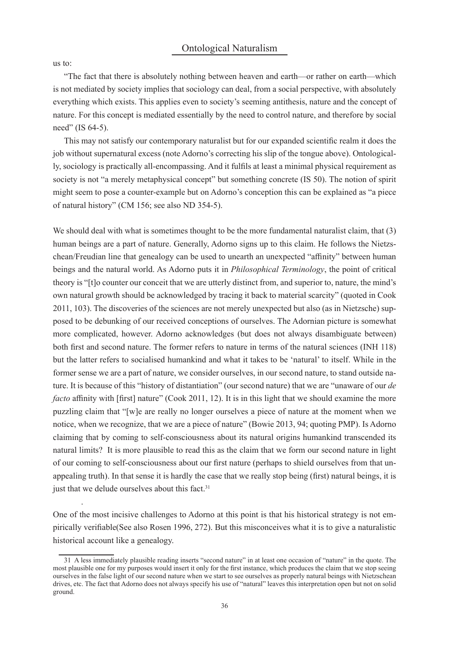us to:

.

"The fact that there is absolutely nothing between heaven and earth—or rather on earth—which is not mediated by society implies that sociology can deal, from a social perspective, with absolutely everything which exists. This applies even to society's seeming antithesis, nature and the concept of nature. For this concept is mediated essentially by the need to control nature, and therefore by social need" (IS 64-5).

This may not satisfy our contemporary naturalist but for our expanded scientific realm it does the job without supernatural excess (note Adorno's correcting his slip of the tongue above). Ontologically, sociology is practically all-encompassing. And it fulfils at least a minimal physical requirement as society is not "a merely metaphysical concept" but something concrete (IS 50). The notion of spirit might seem to pose a counter-example but on Adorno's conception this can be explained as "a piece of natural history" (CM 156; see also ND 354-5).

We should deal with what is sometimes thought to be the more fundamental naturalist claim, that (3) human beings are a part of nature. Generally, Adorno signs up to this claim. He follows the Nietzschean/Freudian line that genealogy can be used to unearth an unexpected "affinity" between human beings and the natural world. As Adorno puts it in *Philosophical Terminology*, the point of critical theory is "[t]o counter our conceit that we are utterly distinct from, and superior to, nature, the mind's own natural growth should be acknowledged by tracing it back to material scarcity" (quoted in Cook 2011, 103). The discoveries of the sciences are not merely unexpected but also (as in Nietzsche) supposed to be debunking of our received conceptions of ourselves. The Adornian picture is somewhat more complicated, however. Adorno acknowledges (but does not always disambiguate between) both first and second nature. The former refers to nature in terms of the natural sciences (INH 118) but the latter refers to socialised humankind and what it takes to be 'natural' to itself. While in the former sense we are a part of nature, we consider ourselves, in our second nature, to stand outside nature. It is because of this "history of distantiation" (our second nature) that we are "unaware of our *de facto* affinity with [first] nature" (Cook 2011, 12). It is in this light that we should examine the more puzzling claim that "[w]e are really no longer ourselves a piece of nature at the moment when we notice, when we recognize, that we are a piece of nature" (Bowie 2013, 94; quoting PMP). Is Adorno claiming that by coming to self-consciousness about its natural origins humankind transcended its natural limits? It is more plausible to read this as the claim that we form our second nature in light of our coming to self-consciousness about our first nature (perhaps to shield ourselves from that unappealing truth). In that sense it is hardly the case that we really stop being (first) natural beings, it is just that we delude ourselves about this fact.<sup>31</sup>

One of the most incisive challenges to Adorno at this point is that his historical strategy is not empirically verifiable(See also Rosen 1996, 272). But this misconceives what it is to give a naturalistic historical account like a genealogy.

<sup>31</sup> A less immediately plausible reading inserts "second nature" in at least one occasion of "nature" in the quote. The most plausible one for my purposes would insert it only for the first instance, which produces the claim that we stop seeing ourselves in the false light of our second nature when we start to see ourselves as properly natural beings with Nietzschean drives, etc. The fact that Adorno does not always specify his use of "natural" leaves this interpretation open but not on solid ground.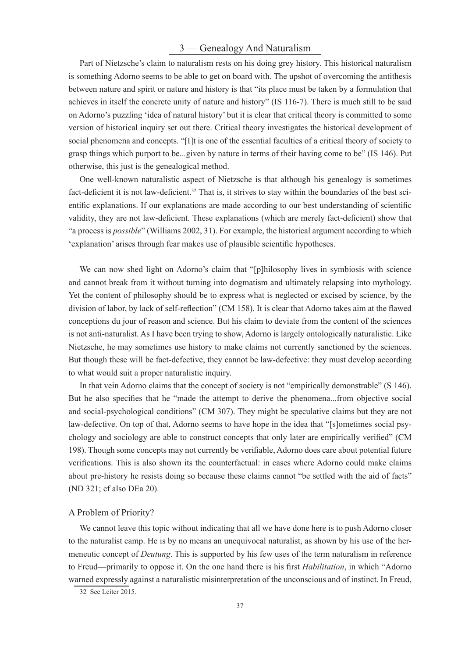# 3 — Genealogy And Naturalism

Part of Nietzsche's claim to naturalism rests on his doing grey history. This historical naturalism is something Adorno seems to be able to get on board with. The upshot of overcoming the antithesis between nature and spirit or nature and history is that "its place must be taken by a formulation that achieves in itself the concrete unity of nature and history" (IS 116-7). There is much still to be said on Adorno's puzzling 'idea of natural history' but it is clear that critical theory is committed to some version of historical inquiry set out there. Critical theory investigates the historical development of social phenomena and concepts. "[I]t is one of the essential faculties of a critical theory of society to grasp things which purport to be...given by nature in terms of their having come to be" (IS 146). Put otherwise, this just is the genealogical method.

One well-known naturalistic aspect of Nietzsche is that although his genealogy is sometimes fact-deficient it is not law-deficient.<sup>32</sup> That is, it strives to stay within the boundaries of the best scientific explanations. If our explanations are made according to our best understanding of scientific validity, they are not law-deficient. These explanations (which are merely fact-deficient) show that "a process is *possible*" (Williams 2002, 31). For example, the historical argument according to which 'explanation' arises through fear makes use of plausible scientific hypotheses.

We can now shed light on Adorno's claim that "[p]hilosophy lives in symbiosis with science and cannot break from it without turning into dogmatism and ultimately relapsing into mythology. Yet the content of philosophy should be to express what is neglected or excised by science, by the division of labor, by lack of self-reflection" (CM 158). It is clear that Adorno takes aim at the flawed conceptions du jour of reason and science. But his claim to deviate from the content of the sciences is not anti-naturalist. As I have been trying to show, Adorno is largely ontologically naturalistic. Like Nietzsche, he may sometimes use history to make claims not currently sanctioned by the sciences. But though these will be fact-defective, they cannot be law-defective: they must develop according to what would suit a proper naturalistic inquiry.

In that vein Adorno claims that the concept of society is not "empirically demonstrable" (S 146). But he also specifies that he "made the attempt to derive the phenomena...from objective social and social-psychological conditions" (CM 307). They might be speculative claims but they are not law-defective. On top of that, Adorno seems to have hope in the idea that "[s]ometimes social psychology and sociology are able to construct concepts that only later are empirically verified" (CM 198). Though some concepts may not currently be verifiable, Adorno does care about potential future verifications. This is also shown its the counterfactual: in cases where Adorno could make claims about pre-history he resists doing so because these claims cannot "be settled with the aid of facts" (ND 321; cf also DEa 20).

#### A Problem of Priority?

We cannot leave this topic without indicating that all we have done here is to push Adorno closer to the naturalist camp. He is by no means an unequivocal naturalist, as shown by his use of the hermeneutic concept of *Deutung*. This is supported by his few uses of the term naturalism in reference to Freud—primarily to oppose it. On the one hand there is his first *Habilitation*, in which "Adorno" warned expressly against a naturalistic misinterpretation of the unconscious and of instinct. In Freud,

32 See Leiter 2015.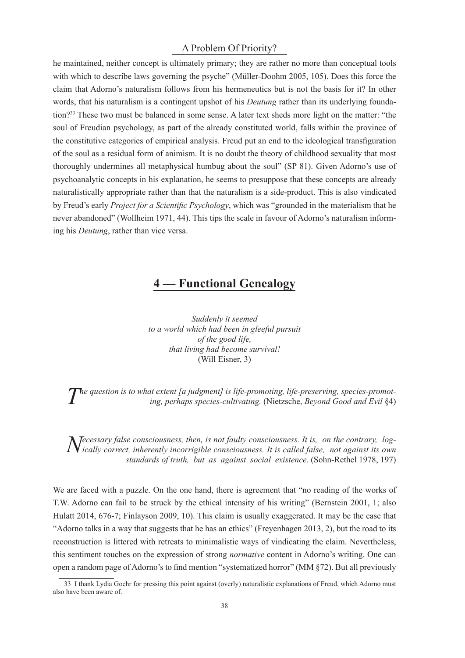# A Problem Of Priority?

he maintained, neither concept is ultimately primary; they are rather no more than conceptual tools with which to describe laws governing the psyche" (Müller-Doohm 2005, 105). Does this force the claim that Adorno's naturalism follows from his hermeneutics but is not the basis for it? In other words, that his naturalism is a contingent upshot of his *Deutung* rather than its underlying foundation?<sup>33</sup> These two must be balanced in some sense. A later text sheds more light on the matter: "the soul of Freudian psychology, as part of the already constituted world, falls within the province of the constitutive categories of empirical analysis. Freud put an end to the ideological transfiguration of the soul as a residual form of animism. It is no doubt the theory of childhood sexuality that most thoroughly undermines all metaphysical humbug about the soul" (SP 81). Given Adorno's use of psychoanalytic concepts in his explanation, he seems to presuppose that these concepts are already naturalistically appropriate rather than that the naturalism is a side-product. This is also vindicated by Freud's early *Project for a Scientific Psychology*, which was "grounded in the materialism that he never abandoned" (Wollheim 1971, 44). This tips the scale in favour of Adorno's naturalism informing his *Deutung*, rather than vice versa.

# **4 — Functional Genealogy**

*Suddenly it seemed to a world which had been in gleeful pursuit of the good life, that living had become survival!* (Will Eisner, 3)

*T he question is to what extent [a judgment] is life-promoting, life-preserving, species-promoting, perhaps species-cultivating.* (Nietzsche, *Beyond Good and Evil* §4)

*Necessary false consciousness, then, is not faulty consciousness. It is, on the contrary, log-*<br>*Nically correct, inherently incorrigible consciousness. It is called false, not against its own ecessary false consciousness, then, is not faulty consciousness. It is, on the contrary, logstandards of truth, but as against social existence.* (Sohn-Rethel 1978, 197)

We are faced with a puzzle. On the one hand, there is agreement that "no reading of the works of T.W. Adorno can fail to be struck by the ethical intensity of his writing" (Bernstein 2001, 1; also Hulatt 2014, 676-7; Finlayson 2009, 10). This claim is usually exaggerated. It may be the case that "Adorno talks in a way that suggests that he has an ethics" (Freyenhagen 2013, 2), but the road to its reconstruction is littered with retreats to minimalistic ways of vindicating the claim. Nevertheless, this sentiment touches on the expression of strong *normative* content in Adorno's writing. One can open a random page of Adorno's to find mention "systematized horror" (MM §72). But all previously

<sup>33</sup> I thank Lydia Goehr for pressing this point against (overly) naturalistic explanations of Freud, which Adorno must also have been aware of.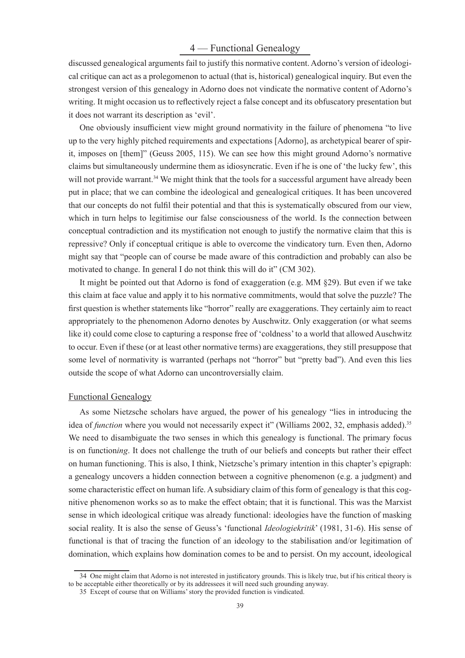# 4 — Functional Genealogy

discussed genealogical arguments fail to justify this normative content. Adorno's version of ideological critique can act as a prolegomenon to actual (that is, historical) genealogical inquiry. But even the strongest version of this genealogy in Adorno does not vindicate the normative content of Adorno's writing. It might occasion us to reflectively reject a false concept and its obfuscatory presentation but it does not warrant its description as 'evil'.

One obviously insufficient view might ground normativity in the failure of phenomena "to live up to the very highly pitched requirements and expectations [Adorno], as archetypical bearer of spirit, imposes on [them]" (Geuss 2005, 115). We can see how this might ground Adorno's normative claims but simultaneously undermine them as idiosyncratic. Even if he is one of 'the lucky few', this will not provide warrant.<sup>34</sup> We might think that the tools for a successful argument have already been put in place; that we can combine the ideological and genealogical critiques. It has been uncovered that our concepts do not fulfil their potential and that this is systematically obscured from our view, which in turn helps to legitimise our false consciousness of the world. Is the connection between conceptual contradiction and its mystification not enough to justify the normative claim that this is repressive? Only if conceptual critique is able to overcome the vindicatory turn. Even then, Adorno might say that "people can of course be made aware of this contradiction and probably can also be motivated to change. In general I do not think this will do it" (CM 302).

It might be pointed out that Adorno is fond of exaggeration (e.g. MM §29). But even if we take this claim at face value and apply it to his normative commitments, would that solve the puzzle? The first question is whether statements like "horror" really are exaggerations. They certainly aim to react appropriately to the phenomenon Adorno denotes by Auschwitz. Only exaggeration (or what seems like it) could come close to capturing a response free of 'coldness' to a world that allowed Auschwitz to occur. Even if these (or at least other normative terms) are exaggerations, they still presuppose that some level of normativity is warranted (perhaps not "horror" but "pretty bad"). And even this lies outside the scope of what Adorno can uncontroversially claim.

# Functional Genealogy

As some Nietzsche scholars have argued, the power of his genealogy "lies in introducing the idea of *function* where you would not necessarily expect it" (Williams 2002, 32, emphasis added).<sup>35</sup> We need to disambiguate the two senses in which this genealogy is functional. The primary focus is on functioning. It does not challenge the truth of our beliefs and concepts but rather their effect on human functioning. This is also, I think, Nietzsche's primary intention in this chapter's epigraph: a genealogy uncovers a hidden connection between a cognitive phenomenon (e.g. a judgment) and some characteristic effect on human life. A subsidiary claim of this form of genealogy is that this cognitive phenomenon works so as to make the effect obtain; that it is functional. This was the Marxist sense in which ideological critique was already functional: ideologies have the function of masking social reality. It is also the sense of Geuss's 'functional *Ideologiekritik*' (1981, 31-6). His sense of functional is that of tracing the function of an ideology to the stabilisation and/or legitimation of domination, which explains how domination comes to be and to persist. On my account, ideological

<sup>34</sup> One might claim that Adorno is not interested in justificatory grounds. This is likely true, but if his critical theory is to be acceptable either theoretically or by its addressees it will need such grounding anyway.

<sup>35</sup> Except of course that on Williams' story the provided function is vindicated.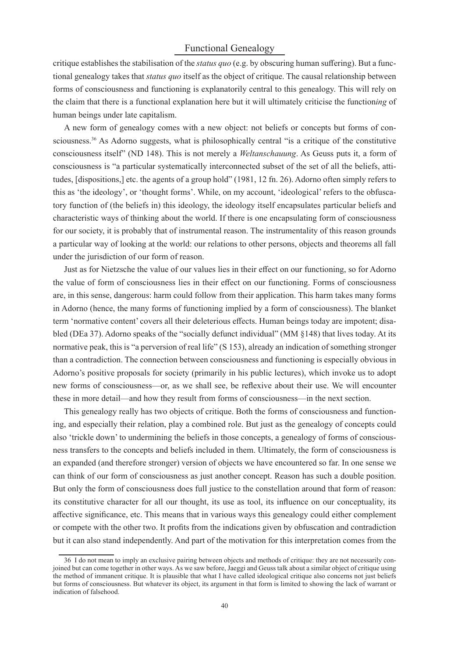# Functional Genealogy

critique establishes the stabilisation of the *status quo* (e.g. by obscuring human suffering). But a functional genealogy takes that *status quo* itself as the object of critique. The causal relationship between forms of consciousness and functioning is explanatorily central to this genealogy. This will rely on the claim that there is a functional explanation here but it will ultimately criticise the function*ing* of human beings under late capitalism.

A new form of genealogy comes with a new object: not beliefs or concepts but forms of consciousness.<sup>36</sup> As Adorno suggests, what is philosophically central "is a critique of the constitutive consciousness itself" (ND 148). This is not merely a *Weltanschauung*. As Geuss puts it, a form of consciousness is "a particular systematically interconnected subset of the set of all the beliefs, attitudes, [dispositions,] etc. the agents of a group hold" (1981, 12 fn. 26). Adorno often simply refers to this as 'the ideology', or 'thought forms'. While, on my account, 'ideological' refers to the obfuscatory function of (the beliefs in) this ideology, the ideology itself encapsulates particular beliefs and characteristic ways of thinking about the world. If there is one encapsulating form of consciousness for our society, it is probably that of instrumental reason. The instrumentality of this reason grounds a particular way of looking at the world: our relations to other persons, objects and theorems all fall under the jurisdiction of our form of reason.

Just as for Nietzsche the value of our values lies in their effect on our functioning, so for Adorno the value of form of consciousness lies in their effect on our functioning. Forms of consciousness are, in this sense, dangerous: harm could follow from their application. This harm takes many forms in Adorno (hence, the many forms of functioning implied by a form of consciousness). The blanket term 'normative content' covers all their deleterious effects. Human beings today are impotent; disabled (DEa 37). Adorno speaks of the "socially defunct individual" (MM §148) that lives today. At its normative peak, this is "a perversion of real life" (S 153), already an indication of something stronger than a contradiction. The connection between consciousness and functioning is especially obvious in Adorno's positive proposals for society (primarily in his public lectures), which invoke us to adopt new forms of consciousness—or, as we shall see, be reflexive about their use. We will encounter these in more detail—and how they result from forms of consciousness—in the next section.

This genealogy really has two objects of critique. Both the forms of consciousness and functioning, and especially their relation, play a combined role. But just as the genealogy of concepts could also 'trickle down' to undermining the beliefs in those concepts, a genealogy of forms of consciousness transfers to the concepts and beliefs included in them. Ultimately, the form of consciousness is an expanded (and therefore stronger) version of objects we have encountered so far. In one sense we can think of our form of consciousness as just another concept. Reason has such a double position. But only the form of consciousness does full justice to the constellation around that form of reason: its constitutive character for all our thought, its use as tool, its influence on our conceptuality, its affective significance, etc. This means that in various ways this genealogy could either complement or compete with the other two. It profits from the indications given by obfuscation and contradiction but it can also stand independently. And part of the motivation for this interpretation comes from the

<sup>36</sup> I do not mean to imply an exclusive pairing between objects and methods of critique: they are not necessarily conjoined but can come together in other ways. As we saw before, Jaeggi and Geuss talk about a similar object of critique using the method of immanent critique. It is plausible that what I have called ideological critique also concerns not just beliefs but forms of consciousness. But whatever its object, its argument in that form is limited to showing the lack of warrant or indication of falsehood.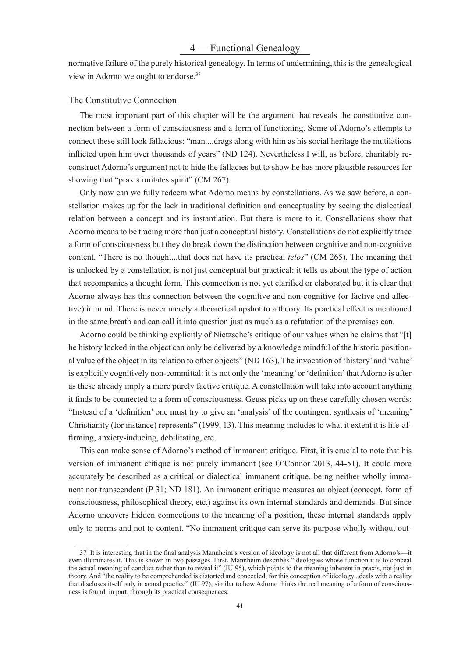normative failure of the purely historical genealogy. In terms of undermining, this is the genealogical view in Adorno we ought to endorse.<sup>37</sup>

#### The Constitutive Connection

The most important part of this chapter will be the argument that reveals the constitutive connection between a form of consciousness and a form of functioning. Some of Adorno's attempts to connect these still look fallacious: "man....drags along with him as his social heritage the mutilations inflicted upon him over thousands of years" (ND 124). Nevertheless I will, as before, charitably reconstruct Adorno's argument not to hide the fallacies but to show he has more plausible resources for showing that "praxis imitates spirit" (CM 267).

Only now can we fully redeem what Adorno means by constellations. As we saw before, a constellation makes up for the lack in traditional definition and conceptuality by seeing the dialectical relation between a concept and its instantiation. But there is more to it. Constellations show that Adorno means to be tracing more than just a conceptual history. Constellations do not explicitly trace a form of consciousness but they do break down the distinction between cognitive and non-cognitive content. "There is no thought...that does not have its practical *telos*" (CM 265). The meaning that is unlocked by a constellation is not just conceptual but practical: it tells us about the type of action that accompanies a thought form. This connection is not yet clarified or elaborated but it is clear that Adorno always has this connection between the cognitive and non-cognitive (or factive and affective) in mind. There is never merely a theoretical upshot to a theory. Its practical effect is mentioned in the same breath and can call it into question just as much as a refutation of the premises can.

Adorno could be thinking explicitly of Nietzsche's critique of our values when he claims that "[t] he history locked in the object can only be delivered by a knowledge mindful of the historic positional value of the object in its relation to other objects" (ND 163). The invocation of 'history' and 'value' is explicitly cognitively non-committal: it is not only the 'meaning' or 'definition' that Adorno is after as these already imply a more purely factive critique. A constellation will take into account anything it finds to be connected to a form of consciousness. Geuss picks up on these carefully chosen words: "Instead of a 'definition' one must try to give an 'analysis' of the contingent synthesis of 'meaning' Christianity (for instance) represents" (1999, 13). This meaning includes to what it extent it is life-affirming, anxiety-inducing, debilitating, etc.

This can make sense of Adorno's method of immanent critique. First, it is crucial to note that his version of immanent critique is not purely immanent (see O'Connor 2013, 44-51). It could more accurately be described as a critical or dialectical immanent critique, being neither wholly immanent nor transcendent (P 31; ND 181). An immanent critique measures an object (concept, form of consciousness, philosophical theory, etc.) against its own internal standards and demands. But since Adorno uncovers hidden connections to the meaning of a position, these internal standards apply only to norms and not to content. "No immanent critique can serve its purpose wholly without out-

<sup>37</sup> It is interesting that in the final analysis Mannheim's version of ideology is not all that different from Adorno's—it even illuminates it. This is shown in two passages. First, Mannheim describes "ideologies whose function it is to conceal the actual meaning of conduct rather than to reveal it" (IU 95), which points to the meaning inherent in praxis, not just in theory. And "the reality to be comprehended is distorted and concealed, for this conception of ideology...deals with a reality that discloses itself only in actual practice" (IU 97); similar to how Adorno thinks the real meaning of a form of consciousness is found, in part, through its practical consequences.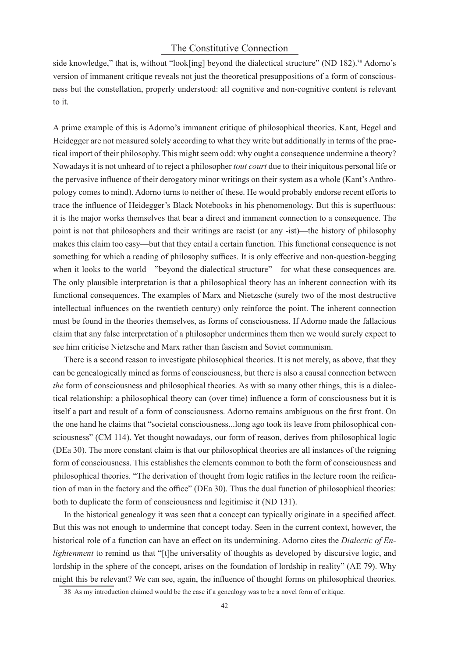# The Constitutive Connection

side knowledge," that is, without "look[ing] beyond the dialectical structure" (ND 182).<sup>38</sup> Adorno's version of immanent critique reveals not just the theoretical presuppositions of a form of consciousness but the constellation, properly understood: all cognitive and non-cognitive content is relevant to it.

A prime example of this is Adorno's immanent critique of philosophical theories. Kant, Hegel and Heidegger are not measured solely according to what they write but additionally in terms of the practical import of their philosophy. This might seem odd: why ought a consequence undermine a theory? Nowadays it is not unheard of to reject a philosopher *tout court* due to their iniquitous personal life or the pervasive influence of their derogatory minor writings on their system as a whole (Kant's Anthropology comes to mind). Adorno turns to neither of these. He would probably endorse recent efforts to trace the influence of Heidegger's Black Notebooks in his phenomenology. But this is superfluous: it is the major works themselves that bear a direct and immanent connection to a consequence. The point is not that philosophers and their writings are racist (or any -ist)—the history of philosophy makes this claim too easy—but that they entail a certain function. This functional consequence is not something for which a reading of philosophy suffices. It is only effective and non-question-begging when it looks to the world—"beyond the dialectical structure"—for what these consequences are. The only plausible interpretation is that a philosophical theory has an inherent connection with its functional consequences. The examples of Marx and Nietzsche (surely two of the most destructive intellectual influences on the twentieth century) only reinforce the point. The inherent connection must be found in the theories themselves, as forms of consciousness. If Adorno made the fallacious claim that any false interpretation of a philosopher undermines them then we would surely expect to see him criticise Nietzsche and Marx rather than fascism and Soviet communism.

There is a second reason to investigate philosophical theories. It is not merely, as above, that they can be genealogically mined as forms of consciousness, but there is also a causal connection between *the* form of consciousness and philosophical theories. As with so many other things, this is a dialectical relationship: a philosophical theory can (over time) influence a form of consciousness but it is itself a part and result of a form of consciousness. Adorno remains ambiguous on the first front. On the one hand he claims that "societal consciousness...long ago took its leave from philosophical consciousness" (CM 114). Yet thought nowadays, our form of reason, derives from philosophical logic (DEa 30). The more constant claim is that our philosophical theories are all instances of the reigning form of consciousness. This establishes the elements common to both the form of consciousness and philosophical theories. "The derivation of thought from logic ratifies in the lecture room the reification of man in the factory and the office" (DEa 30). Thus the dual function of philosophical theories: both to duplicate the form of consciousness and legitimise it (ND 131).

In the historical genealogy it was seen that a concept can typically originate in a specified affect. But this was not enough to undermine that concept today. Seen in the current context, however, the historical role of a function can have an effect on its undermining. Adorno cites the *Dialectic of Enlightenment* to remind us that "[t]he universality of thoughts as developed by discursive logic, and lordship in the sphere of the concept, arises on the foundation of lordship in reality" (AE 79). Why might this be relevant? We can see, again, the influence of thought forms on philosophical theories.

<sup>38</sup> As my introduction claimed would be the case if a genealogy was to be a novel form of critique.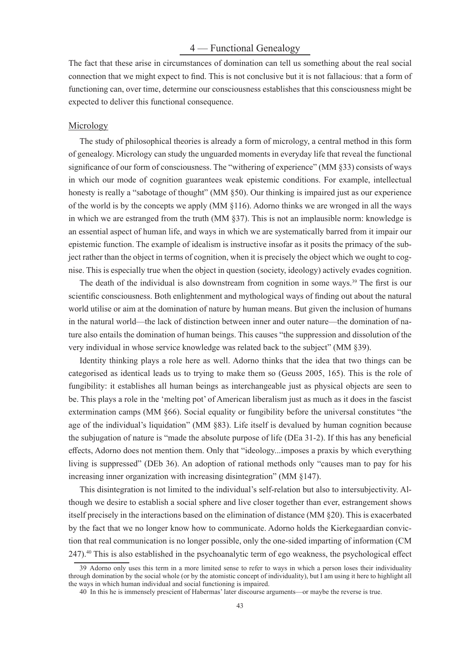# 4 — Functional Genealogy

The fact that these arise in circumstances of domination can tell us something about the real social connection that we might expect to find. This is not conclusive but it is not fallacious: that a form of functioning can, over time, determine our consciousness establishes that this consciousness might be expected to deliver this functional consequence.

#### Micrology

The study of philosophical theories is already a form of micrology, a central method in this form of genealogy. Micrology can study the unguarded moments in everyday life that reveal the functional significance of our form of consciousness. The "withering of experience" (MM §33) consists of ways in which our mode of cognition guarantees weak epistemic conditions. For example, intellectual honesty is really a "sabotage of thought" (MM  $\S50$ ). Our thinking is impaired just as our experience of the world is by the concepts we apply (MM §116). Adorno thinks we are wronged in all the ways in which we are estranged from the truth (MM §37). This is not an implausible norm: knowledge is an essential aspect of human life, and ways in which we are systematically barred from it impair our epistemic function. The example of idealism is instructive insofar as it posits the primacy of the subject rather than the object in terms of cognition, when it is precisely the object which we ought to cognise. This is especially true when the object in question (society, ideology) actively evades cognition.

The death of the individual is also downstream from cognition in some ways.<sup>39</sup> The first is our scientific consciousness. Both enlightenment and mythological ways of finding out about the natural world utilise or aim at the domination of nature by human means. But given the inclusion of humans in the natural world—the lack of distinction between inner and outer nature—the domination of nature also entails the domination of human beings. This causes "the suppression and dissolution of the very individual in whose service knowledge was related back to the subject" (MM §39).

Identity thinking plays a role here as well. Adorno thinks that the idea that two things can be categorised as identical leads us to trying to make them so (Geuss 2005, 165). This is the role of fungibility: it establishes all human beings as interchangeable just as physical objects are seen to be. This plays a role in the 'melting pot' of American liberalism just as much as it does in the fascist extermination camps (MM §66). Social equality or fungibility before the universal constitutes "the age of the individual's liquidation" (MM §83). Life itself is devalued by human cognition because the subjugation of nature is "made the absolute purpose of life (DEa 31-2). If this has any beneficial effects, Adorno does not mention them. Only that "ideology...imposes a praxis by which everything living is suppressed" (DEb 36). An adoption of rational methods only "causes man to pay for his increasing inner organization with increasing disintegration" (MM §147).

This disintegration is not limited to the individual's self-relation but also to intersubjectivity. Although we desire to establish a social sphere and live closer together than ever, estrangement shows itself precisely in the interactions based on the elimination of distance (MM §20). This is exacerbated by the fact that we no longer know how to communicate. Adorno holds the Kierkegaardian conviction that real communication is no longer possible, only the one-sided imparting of information (CM 247).<sup>40</sup> This is also established in the psychoanalytic term of ego weakness, the psychological effect

<sup>39</sup> Adorno only uses this term in a more limited sense to refer to ways in which a person loses their individuality through domination by the social whole (or by the atomistic concept of individuality), but I am using it here to highlight all the ways in which human individual and social functioning is impaired.

<sup>40</sup> In this he is immensely prescient of Habermas' later discourse arguments—or maybe the reverse is true.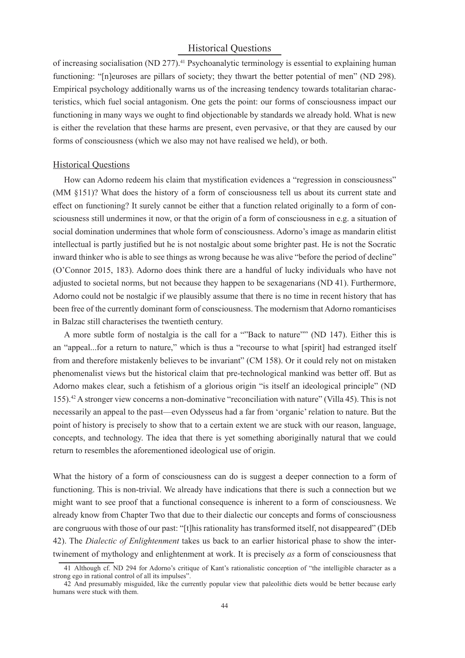# Historical Questions

of increasing socialisation (ND 277).<sup>41</sup> Psychoanalytic terminology is essential to explaining human functioning: "[n]euroses are pillars of society; they thwart the better potential of men" (ND 298). Empirical psychology additionally warns us of the increasing tendency towards totalitarian characteristics, which fuel social antagonism. One gets the point: our forms of consciousness impact our functioning in many ways we ought to find objectionable by standards we already hold. What is new is either the revelation that these harms are present, even pervasive, or that they are caused by our forms of consciousness (which we also may not have realised we held), or both.

#### Historical Questions

How can Adorno redeem his claim that mystification evidences a "regression in consciousness" (MM §151)? What does the history of a form of consciousness tell us about its current state and effect on functioning? It surely cannot be either that a function related originally to a form of consciousness still undermines it now, or that the origin of a form of consciousness in e.g. a situation of social domination undermines that whole form of consciousness. Adorno's image as mandarin elitist intellectual is partly justified but he is not nostalgic about some brighter past. He is not the Socratic inward thinker who is able to see things as wrong because he was alive "before the period of decline" (O'Connor 2015, 183). Adorno does think there are a handful of lucky individuals who have not adjusted to societal norms, but not because they happen to be sexagenarians (ND 41). Furthermore, Adorno could not be nostalgic if we plausibly assume that there is no time in recent history that has been free of the currently dominant form of consciousness. The modernism that Adorno romanticises in Balzac still characterises the twentieth century.

A more subtle form of nostalgia is the call for a ""Back to nature"" (ND 147). Either this is an "appeal...for a return to nature," which is thus a "recourse to what [spirit] had estranged itself from and therefore mistakenly believes to be invariant" (CM 158). Or it could rely not on mistaken phenomenalist views but the historical claim that pre-technological mankind was better off. But as Adorno makes clear, such a fetishism of a glorious origin "is itself an ideological principle" (ND 155).<sup>42</sup> A stronger view concerns a non-dominative "reconciliation with nature" (Villa 45). This is not necessarily an appeal to the past—even Odysseus had a far from 'organic' relation to nature. But the point of history is precisely to show that to a certain extent we are stuck with our reason, language, concepts, and technology. The idea that there is yet something aboriginally natural that we could return to resembles the aforementioned ideological use of origin.

What the history of a form of consciousness can do is suggest a deeper connection to a form of functioning. This is non-trivial. We already have indications that there is such a connection but we might want to see proof that a functional consequence is inherent to a form of consciousness. We already know from Chapter Two that due to their dialectic our concepts and forms of consciousness are congruous with those of our past: "[t]his rationality has transformed itself, not disappeared" (DEb 42). The *Dialectic of Enlightenment* takes us back to an earlier historical phase to show the intertwinement of mythology and enlightenment at work. It is precisely *as* a form of consciousness that

<sup>41</sup> Although cf. ND 294 for Adorno's critique of Kant's rationalistic conception of "the intelligible character as a strong ego in rational control of all its impulses".

<sup>42</sup> And presumably misguided, like the currently popular view that paleolithic diets would be better because early humans were stuck with them.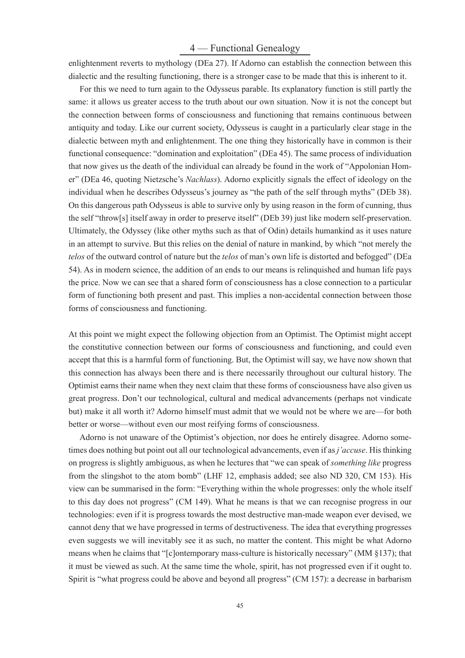# 4 — Functional Genealogy

enlightenment reverts to mythology (DEa 27). If Adorno can establish the connection between this dialectic and the resulting functioning, there is a stronger case to be made that this is inherent to it.

For this we need to turn again to the Odysseus parable. Its explanatory function is still partly the same: it allows us greater access to the truth about our own situation. Now it is not the concept but the connection between forms of consciousness and functioning that remains continuous between antiquity and today. Like our current society, Odysseus is caught in a particularly clear stage in the dialectic between myth and enlightenment. The one thing they historically have in common is their functional consequence: "domination and exploitation" (DEa 45). The same process of individuation that now gives us the death of the individual can already be found in the work of "Appolonian Homer" (DEa 46, quoting Nietzsche's *Nachlass*). Adorno explicitly signals the effect of ideology on the individual when he describes Odysseus's journey as "the path of the self through myths" (DEb 38). On this dangerous path Odysseus is able to survive only by using reason in the form of cunning, thus the self "throw[s] itself away in order to preserve itself" (DEb 39) just like modern self-preservation. Ultimately, the Odyssey (like other myths such as that of Odin) details humankind as it uses nature in an attempt to survive. But this relies on the denial of nature in mankind, by which "not merely the *telos* of the outward control of nature but the *telos* of man's own life is distorted and befogged" (DEa 54). As in modern science, the addition of an ends to our means is relinquished and human life pays the price. Now we can see that a shared form of consciousness has a close connection to a particular form of functioning both present and past. This implies a non-accidental connection between those forms of consciousness and functioning.

At this point we might expect the following objection from an Optimist. The Optimist might accept the constitutive connection between our forms of consciousness and functioning, and could even accept that this is a harmful form of functioning. But, the Optimist will say, we have now shown that this connection has always been there and is there necessarily throughout our cultural history. The Optimist earns their name when they next claim that these forms of consciousness have also given us great progress. Don't our technological, cultural and medical advancements (perhaps not vindicate but) make it all worth it? Adorno himself must admit that we would not be where we are—for both better or worse—without even our most reifying forms of consciousness.

Adorno is not unaware of the Optimist's objection, nor does he entirely disagree. Adorno sometimes does nothing but point out all our technological advancements, even if as *j'accuse*. His thinking on progress is slightly ambiguous, as when he lectures that "we can speak of *something like* progress from the slingshot to the atom bomb" (LHF 12, emphasis added; see also ND 320, CM 153). His view can be summarised in the form: "Everything within the whole progresses: only the whole itself to this day does not progress" (CM 149). What he means is that we can recognise progress in our technologies: even if it is progress towards the most destructive man-made weapon ever devised, we cannot deny that we have progressed in terms of destructiveness. The idea that everything progresses even suggests we will inevitably see it as such, no matter the content. This might be what Adorno means when he claims that "[c]ontemporary mass-culture is historically necessary" (MM §137); that it must be viewed as such. At the same time the whole, spirit, has not progressed even if it ought to. Spirit is "what progress could be above and beyond all progress" (CM 157): a decrease in barbarism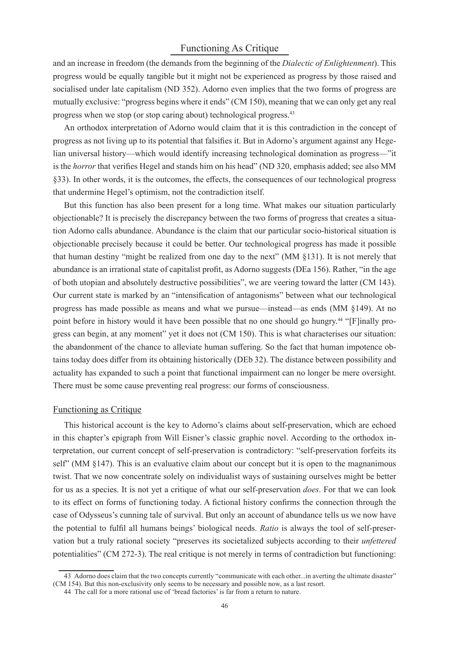# Functioning As Critique

and an increase in freedom (the demands from the beginning of the *Dialectic of Enlightenment*). This progress would be equally tangible but it might not be experienced as progress by those raised and socialised under late capitalism (ND 352). Adorno even implies that the two forms of progress are mutually exclusive: "progress begins where it ends" (CM 150), meaning that we can only get any real progress when we stop (or stop caring about) technological progress.<sup>43</sup>

An orthodox interpretation of Adorno would claim that it is this contradiction in the concept of progress as not living up to its potential that falsifies it. But in Adorno's argument against any Hegelian universal history—which would identify increasing technological domination as progress—"it is the *horror* that verifies Hegel and stands him on his head" (ND 320, emphasis added; see also MM §33). In other words, it is the outcomes, the effects, the consequences of our technological progress that undermine Hegel's optimism, not the contradiction itself.

But this function has also been present for a long time. What makes our situation particularly objectionable? It is precisely the discrepancy between the two forms of progress that creates a situation Adorno calls abundance. Abundance is the claim that our particular socio-historical situation is objectionable precisely because it could be better. Our technological progress has made it possible that human destiny "might be realized from one day to the next" (MM §131). It is not merely that abundance is an irrational state of capitalist profit, as Adorno suggests (DEa 156). Rather, "in the age of both utopian and absolutely destructive possibilities", we are veering toward the latter (CM 143). Our current state is marked by an "intensification of antagonisms" between what our technological progress has made possible as means and what we pursue—instead—as ends (MM §149). At no point before in history would it have been possible that no one should go hungry.44 "[F]inally progress can begin, at any moment" yet it does not (CM 150). This is what characterises our situation: the abandonment of the chance to alleviate human suffering. So the fact that human impotence obtains today does differ from its obtaining historically (DEb 32). The distance between possibility and actuality has expanded to such a point that functional impairment can no longer be mere oversight. There must be some cause preventing real progress: our forms of consciousness.

#### Functioning as Critique

This historical account is the key to Adorno's claims about self-preservation, which are echoed in this chapter's epigraph from Will Eisner's classic graphic novel. According to the orthodox interpretation, our current concept of self-preservation is contradictory: "self-preservation forfeits its self" (MM §147). This is an evaluative claim about our concept but it is open to the magnanimous twist. That we now concentrate solely on individualist ways of sustaining ourselves might be better for us as a species. It is not yet a critique of what our self-preservation *does*. For that we can look to its effect on forms of functioning today. A fictional history confirms the connection through the case of Odysseus's cunning tale of survival. But only an account of abundance tells us we now have the potential to fulfi l all humans beings' biological needs. *Ratio* is always the tool of self-preservation but a truly rational society "preserves its societalized subjects according to their *unfettered* potentialities" (CM 272-3). The real critique is not merely in terms of contradiction but functioning:

<sup>43</sup> Adorno does claim that the two concepts currently "communicate with each other...in averting the ultimate disaster" (CM 154). But this non-exclusivity only seems to be necessary and possible now, as a last resort.

<sup>44</sup> The call for a more rational use of 'bread factories' is far from a return to nature.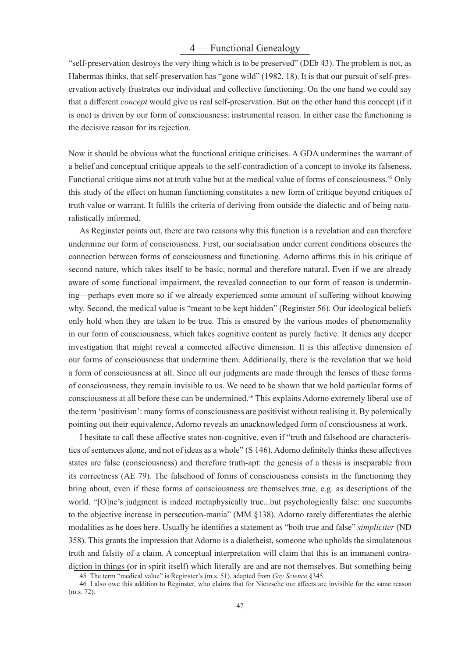# 4 — Functional Genealogy

"self-preservation destroys the very thing which is to be preserved" (DEb 43). The problem is not, as Habermas thinks, that self-preservation has "gone wild" (1982, 18). It is that our pursuit of self-preservation actively frustrates our individual and collective functioning. On the one hand we could say that a different *concept* would give us real self-preservation. But on the other hand this concept (if it is one) is driven by our form of consciousness: instrumental reason. In either case the functioning is the decisive reason for its rejection.

Now it should be obvious what the functional critique criticises. A GDA undermines the warrant of a belief and conceptual critique appeals to the self-contradiction of a concept to invoke its falseness. Functional critique aims not at truth value but at the medical value of forms of consciousness.<sup>45</sup> Only this study of the effect on human functioning constitutes a new form of critique beyond critiques of truth value or warrant. It fulfils the criteria of deriving from outside the dialectic and of being naturalistically informed.

As Reginster points out, there are two reasons why this function is a revelation and can therefore undermine our form of consciousness. First, our socialisation under current conditions obscures the connection between forms of consciousness and functioning. Adorno affirms this in his critique of second nature, which takes itself to be basic, normal and therefore natural. Even if we are already aware of some functional impairment, the revealed connection to our form of reason is undermining—perhaps even more so if we already experienced some amount of suffering without knowing why. Second, the medical value is "meant to be kept hidden" (Reginster 56). Our ideological beliefs only hold when they are taken to be true. This is ensured by the various modes of phenomenality in our form of consciousness, which takes cognitive content as purely factive. It denies any deeper investigation that might reveal a connected affective dimension. It is this affective dimension of our forms of consciousness that undermine them. Additionally, there is the revelation that we hold a form of consciousness at all. Since all our judgments are made through the lenses of these forms of consciousness, they remain invisible to us. We need to be shown that we hold particular forms of consciousness at all before these can be undermined.<sup>46</sup> This explains Adorno extremely liberal use of the term 'positivism': many forms of consciousness are positivist without realising it. By polemically pointing out their equivalence, Adorno reveals an unacknowledged form of consciousness at work.

I hesitate to call these affective states non-cognitive, even if "truth and falsehood are characteristics of sentences alone, and not of ideas as a whole" (S 146). Adorno definitely thinks these affectives states are false (consciousness) and therefore truth-apt: the genesis of a thesis is inseparable from its correctness (AE 79). The falsehood of forms of consciousness consists in the functioning they bring about, even if these forms of consciousness are themselves true, e.g. as descriptions of the world. "[O]ne's judgment is indeed metaphysically true...but psychologically false: one succumbs to the objective increase in persecution-mania" (MM  $\S$ 138). Adorno rarely differentiates the alethic modalities as he does here. Usually he identifies a statement as "both true and false" *simpliciter* (ND 358). This grants the impression that Adorno is a dialetheist, someone who upholds the simulatenous truth and falsity of a claim. A conceptual interpretation will claim that this is an immanent contradiction in things (or in spirit itself) which literally are and are not themselves. But something being

<sup>45</sup> The term "medical value" is Reginster's (m.s. 51), adapted from *Gay Science* §345.

<sup>46</sup> I also owe this addition to Reginster, who claims that for Nietzsche our affects are invisible for the same reason (m.s. 72).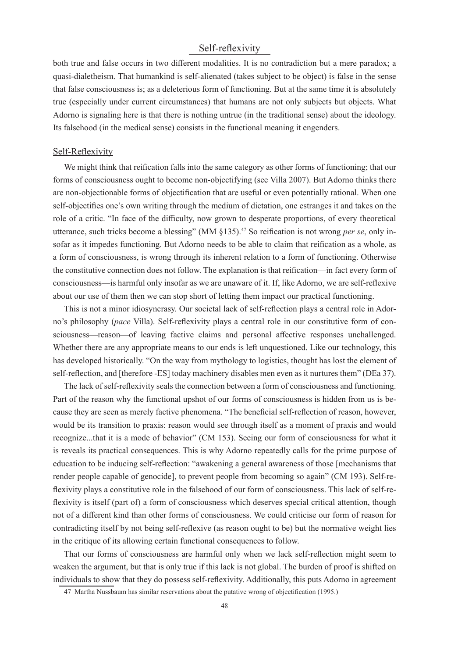# Self-reflexivity

both true and false occurs in two different modalities. It is no contradiction but a mere paradox; a quasi-dialetheism. That humankind is self-alienated (takes subject to be object) is false in the sense that false consciousness is; as a deleterious form of functioning. But at the same time it is absolutely true (especially under current circumstances) that humans are not only subjects but objects. What Adorno is signaling here is that there is nothing untrue (in the traditional sense) about the ideology. Its falsehood (in the medical sense) consists in the functional meaning it engenders.

#### Self-Reflexivity

We might think that reification falls into the same category as other forms of functioning; that our forms of consciousness ought to become non-objectifying (see Villa 2007). But Adorno thinks there are non-objectionable forms of objectification that are useful or even potentially rational. When one self-objectifies one's own writing through the medium of dictation, one estranges it and takes on the role of a critic. "In face of the difficulty, now grown to desperate proportions, of every theoretical utterance, such tricks become a blessing" (MM §135).<sup>47</sup> So reification is not wrong *per se*, only insofar as it impedes functioning. But Adorno needs to be able to claim that reification as a whole, as a form of consciousness, is wrong through its inherent relation to a form of functioning. Otherwise the constitutive connection does not follow. The explanation is that reification—in fact every form of consciousness—is harmful only insofar as we are unaware of it. If, like Adorno, we are self-reflexive about our use of them then we can stop short of letting them impact our practical functioning.

This is not a minor idiosyncrasy. Our societal lack of self-reflection plays a central role in Adorno's philosophy (*pace* Villa). Self-reflexivity plays a central role in our constitutive form of consciousness—reason—of leaving factive claims and personal affective responses unchallenged. Whether there are any appropriate means to our ends is left unquestioned. Like our technology, this has developed historically. "On the way from mythology to logistics, thought has lost the element of self-reflection, and [therefore -ES] today machinery disables men even as it nurtures them" (DEa 37).

The lack of self-reflexivity seals the connection between a form of consciousness and functioning. Part of the reason why the functional upshot of our forms of consciousness is hidden from us is because they are seen as merely factive phenomena. "The beneficial self-reflection of reason, however, would be its transition to praxis: reason would see through itself as a moment of praxis and would recognize...that it is a mode of behavior" (CM 153). Seeing our form of consciousness for what it is reveals its practical consequences. This is why Adorno repeatedly calls for the prime purpose of education to be inducing self-reflection: "awakening a general awareness of those [mechanisms that render people capable of genocide], to prevent people from becoming so again" (CM 193). Self-reflexivity plays a constitutive role in the falsehood of our form of consciousness. This lack of self-reflexivity is itself (part of) a form of consciousness which deserves special critical attention, though not of a different kind than other forms of consciousness. We could criticise our form of reason for contradicting itself by not being self-reflexive (as reason ought to be) but the normative weight lies in the critique of its allowing certain functional consequences to follow.

That our forms of consciousness are harmful only when we lack self-reflection might seem to weaken the argument, but that is only true if this lack is not global. The burden of proof is shifted on individuals to show that they do possess self-reflexivity. Additionally, this puts Adorno in agreement

<sup>47</sup> Martha Nussbaum has similar reservations about the putative wrong of objectification (1995.)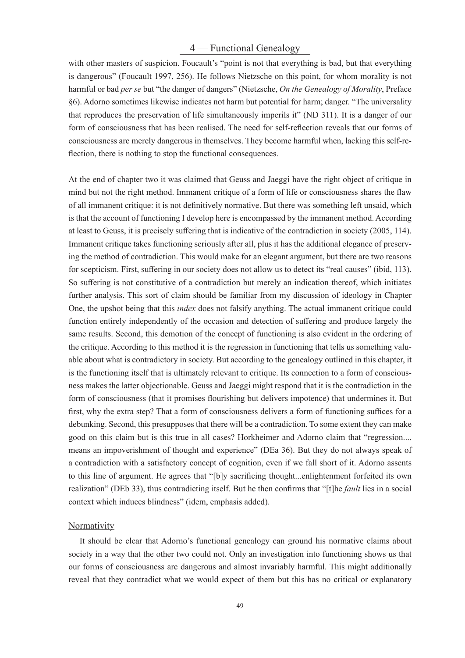# 4 — Functional Genealogy

with other masters of suspicion. Foucault's "point is not that everything is bad, but that everything is dangerous" (Foucault 1997, 256). He follows Nietzsche on this point, for whom morality is not harmful or bad *per se* but "the danger of dangers" (Nietzsche, *On the Genealogy of Morality*, Preface §6). Adorno sometimes likewise indicates not harm but potential for harm; danger. "The universality that reproduces the preservation of life simultaneously imperils it" (ND 311). It is a danger of our form of consciousness that has been realised. The need for self-reflection reveals that our forms of consciousness are merely dangerous in themselves. They become harmful when, lacking this self-reflection, there is nothing to stop the functional consequences.

At the end of chapter two it was claimed that Geuss and Jaeggi have the right object of critique in mind but not the right method. Immanent critique of a form of life or consciousness shares the flaw of all immanent critique: it is not definitively normative. But there was something left unsaid, which is that the account of functioning I develop here is encompassed by the immanent method. According at least to Geuss, it is precisely suffering that is indicative of the contradiction in society (2005, 114). Immanent critique takes functioning seriously after all, plus it has the additional elegance of preserving the method of contradiction. This would make for an elegant argument, but there are two reasons for scepticism. First, suffering in our society does not allow us to detect its "real causes" (ibid, 113). So suffering is not constitutive of a contradiction but merely an indication thereof, which initiates further analysis. This sort of claim should be familiar from my discussion of ideology in Chapter One, the upshot being that this *index* does not falsify anything. The actual immanent critique could function entirely independently of the occasion and detection of suffering and produce largely the same results. Second, this demotion of the concept of functioning is also evident in the ordering of the critique. According to this method it is the regression in functioning that tells us something valuable about what is contradictory in society. But according to the genealogy outlined in this chapter, it is the functioning itself that is ultimately relevant to critique. Its connection to a form of consciousness makes the latter objectionable. Geuss and Jaeggi might respond that it is the contradiction in the form of consciousness (that it promises flourishing but delivers impotence) that undermines it. But first, why the extra step? That a form of consciousness delivers a form of functioning suffices for a debunking. Second, this presupposes that there will be a contradiction. To some extent they can make good on this claim but is this true in all cases? Horkheimer and Adorno claim that "regression.... means an impoverishment of thought and experience" (DEa 36). But they do not always speak of a contradiction with a satisfactory concept of cognition, even if we fall short of it. Adorno assents to this line of argument. He agrees that "[b]y sacrificing thought...enlightenment forfeited its own realization" (DEb 33), thus contradicting itself. But he then confirms that "[t]he *fault* lies in a social context which induces blindness" (idem, emphasis added).

#### Normativity

It should be clear that Adorno's functional genealogy can ground his normative claims about society in a way that the other two could not. Only an investigation into functioning shows us that our forms of consciousness are dangerous and almost invariably harmful. This might additionally reveal that they contradict what we would expect of them but this has no critical or explanatory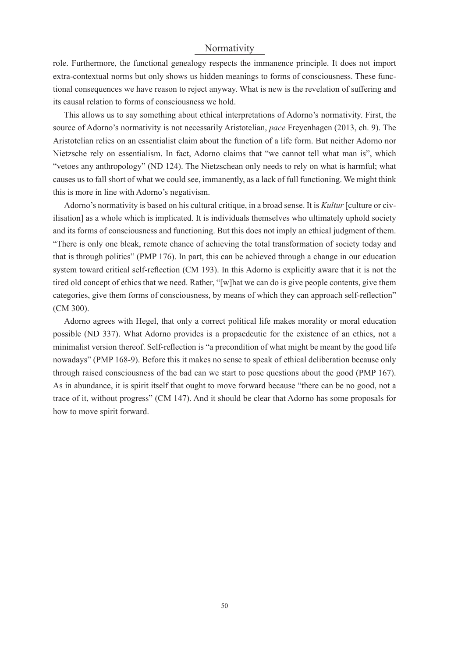# Normativity

role. Furthermore, the functional genealogy respects the immanence principle. It does not import extra-contextual norms but only shows us hidden meanings to forms of consciousness. These functional consequences we have reason to reject anyway. What is new is the revelation of suffering and its causal relation to forms of consciousness we hold.

This allows us to say something about ethical interpretations of Adorno's normativity. First, the source of Adorno's normativity is not necessarily Aristotelian, *pace* Freyenhagen (2013, ch. 9). The Aristotelian relies on an essentialist claim about the function of a life form. But neither Adorno nor Nietzsche rely on essentialism. In fact, Adorno claims that "we cannot tell what man is", which "vetoes any anthropology" (ND 124). The Nietzschean only needs to rely on what is harmful; what causes us to fall short of what we could see, immanently, as a lack of full functioning. We might think this is more in line with Adorno's negativism.

Adorno's normativity is based on his cultural critique, in a broad sense. It is *Kultur* [culture or civilisation] as a whole which is implicated. It is individuals themselves who ultimately uphold society and its forms of consciousness and functioning. But this does not imply an ethical judgment of them. "There is only one bleak, remote chance of achieving the total transformation of society today and that is through politics" (PMP 176). In part, this can be achieved through a change in our education system toward critical self-reflection (CM 193). In this Adorno is explicitly aware that it is not the tired old concept of ethics that we need. Rather, "[w]hat we can do is give people contents, give them categories, give them forms of consciousness, by means of which they can approach self-reflection" (CM 300).

Adorno agrees with Hegel, that only a correct political life makes morality or moral education possible (ND 337). What Adorno provides is a propaedeutic for the existence of an ethics, not a minimalist version thereof. Self-reflection is "a precondition of what might be meant by the good life nowadays" (PMP 168-9). Before this it makes no sense to speak of ethical deliberation because only through raised consciousness of the bad can we start to pose questions about the good (PMP 167). As in abundance, it is spirit itself that ought to move forward because "there can be no good, not a trace of it, without progress" (CM 147). And it should be clear that Adorno has some proposals for how to move spirit forward.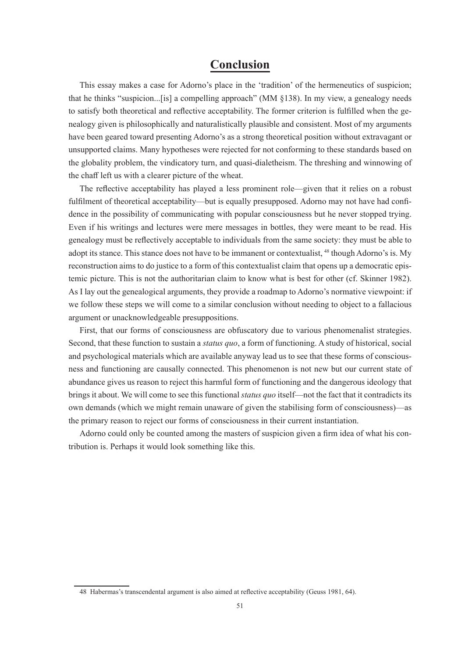# **Conclusion**

This essay makes a case for Adorno's place in the 'tradition' of the hermeneutics of suspicion; that he thinks "suspicion...[is] a compelling approach" (MM §138). In my view, a genealogy needs to satisfy both theoretical and reflective acceptability. The former criterion is fulfilled when the genealogy given is philosophically and naturalistically plausible and consistent. Most of my arguments have been geared toward presenting Adorno's as a strong theoretical position without extravagant or unsupported claims. Many hypotheses were rejected for not conforming to these standards based on the globality problem, the vindicatory turn, and quasi-dialetheism. The threshing and winnowing of the chaff left us with a clearer picture of the wheat.

The reflective acceptability has played a less prominent role—given that it relies on a robust fulfilment of theoretical acceptability—but is equally presupposed. Adorno may not have had confidence in the possibility of communicating with popular consciousness but he never stopped trying. Even if his writings and lectures were mere messages in bottles, they were meant to be read. His genealogy must be reflectively acceptable to individuals from the same society: they must be able to adopt its stance. This stance does not have to be immanent or contextualist, <sup>48</sup> though Adorno's is. My reconstruction aims to do justice to a form of this contextualist claim that opens up a democratic epistemic picture. This is not the authoritarian claim to know what is best for other (cf. Skinner 1982). As I lay out the genealogical arguments, they provide a roadmap to Adorno's normative viewpoint: if we follow these steps we will come to a similar conclusion without needing to object to a fallacious argument or unacknowledgeable presuppositions.

First, that our forms of consciousness are obfuscatory due to various phenomenalist strategies. Second, that these function to sustain a *status quo*, a form of functioning. A study of historical, social and psychological materials which are available anyway lead us to see that these forms of consciousness and functioning are causally connected. This phenomenon is not new but our current state of abundance gives us reason to reject this harmful form of functioning and the dangerous ideology that brings it about. We will come to see this functional *status quo* itself—not the fact that it contradicts its own demands (which we might remain unaware of given the stabilising form of consciousness)—as the primary reason to reject our forms of consciousness in their current instantiation.

Adorno could only be counted among the masters of suspicion given a firm idea of what his contribution is. Perhaps it would look something like this.

<sup>48</sup> Habermas's transcendental argument is also aimed at reflective acceptability (Geuss 1981, 64).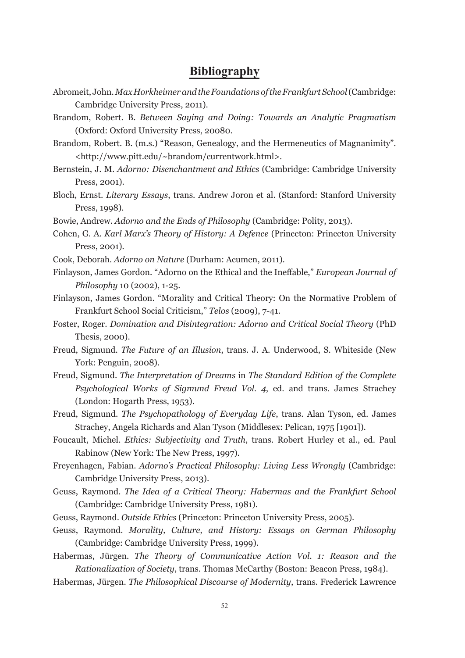# **Bibliography**

- Abromeit, John. *Max Horkheimer and the Foundations of the Frankfurt School* (Cambridge: Cambridge University Press, 2011).
- Brandom, Robert. B. *Between Saying and Doing: Towards an Analytic Pragmatism*  (Oxford: Oxford University Press, 20080.
- Brandom, Robert. B. (m.s.) "Reason, Genealogy, and the Hermeneutics of Magnanimity". <http://www.pitt.edu/~brandom/currentwork.html>.
- Bernstein, J. M. *Adorno: Disenchantment and Ethics* (Cambridge: Cambridge University Press, 2001).
- Bloch, Ernst. *Literary Essays*, trans. Andrew Joron et al. (Stanford: Stanford University Press, 1998).
- Bowie, Andrew. *Adorno and the Ends of Philosophy* (Cambridge: Polity, 2013).
- Cohen, G. A. *Karl Marx's Theory of History: A Defence* (Princeton: Princeton University Press, 2001)*.*
- Cook, Deborah. *Adorno on Nature* (Durham: Acumen, 2011).
- Finlayson, James Gordon. "Adorno on the Ethical and the Ineffable," *European Journal of Philosophy* 10 (2002), 1-25.
- Finlayson, James Gordon. "Morality and Critical Theory: On the Normative Problem of Frankfurt School Social Criticism," *Telos* (2009), 7-41.
- Foster, Roger. *Domination and Disintegration: Adorno and Critical Social Theory* (PhD Thesis, 2000).
- Freud, Sigmund. *The Future of an Illusion*, trans. J. A. Underwood, S. Whiteside (New York: Penguin, 2008).
- Freud, Sigmund. *The Interpretation of Dreams* in *The Standard Edition of the Complete Psychological Works of Sigmund Freud Vol. 4*, ed. and trans. James Strachey (London: Hogarth Press, 1953).
- Freud, Sigmund. *The Psychopathology of Everyday Life*, trans. Alan Tyson, ed. James Strachey, Angela Richards and Alan Tyson (Middlesex: Pelican, 1975 [1901]).
- Foucault, Michel. *Ethics: Subjectivity and Truth*, trans. Robert Hurley et al., ed. Paul Rabinow (New York: The New Press, 1997).
- Freyenhagen, Fabian. *Adorno's Practical Philosophy: Living Less Wrongly* (Cambridge: Cambridge University Press, 2013).
- Geuss, Raymond. *The Idea of a Critical Theory: Habermas and the Frankfurt School* (Cambridge: Cambridge University Press, 1981).
- Geuss, Raymond. *Outside Ethics* (Princeton: Princeton University Press, 2005).
- Geuss, Raymond. *Morality, Culture, and History: Essays on German Philosophy*  (Cambridge: Cambridge University Press, 1999).
- Habermas, Jürgen. *The Theory of Communicative Action Vol. 1: Reason and the Rationalization of Society*, trans. Thomas McCarthy (Boston: Beacon Press, 1984).
- Habermas, Jürgen. *The Philosophical Discourse of Modernity*, trans. Frederick Lawrence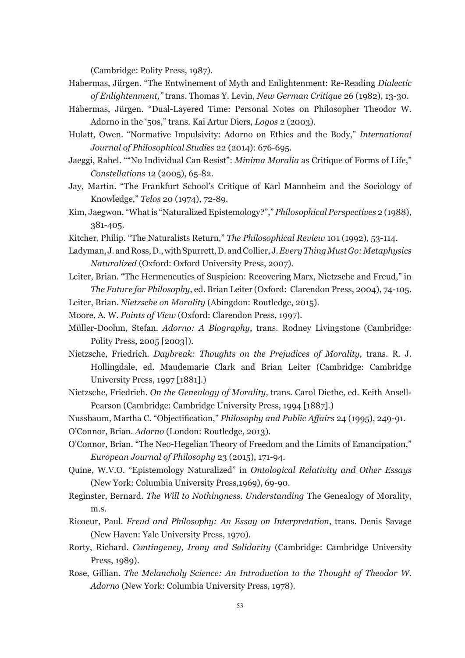(Cambridge: Polity Press, 1987).

- Habermas, Jürgen. "The Entwinement of Myth and Enlightenment: Re-Reading *Dialectic of Enlightenment,"* trans. Thomas Y. Levin, *New German Critique* 26 (1982), 13-30.
- Habermas, Jürgen. "Dual-Layered Time: Personal Notes on Philosopher Theodor W. Adorno in the '50s," trans. Kai Artur Diers, *Logos* 2 (2003).
- Hulatt, Owen. "Normative Impulsivity: Adorno on Ethics and the Body," *International Journal of Philosophical Studies* 22 (2014): 676-695.
- Jaeggi, Rahel. ""No Individual Can Resist": *Minima Moralia* as Critique of Forms of Life," *Constellations* 12 (2005), 65-82.
- Jay, Martin. "The Frankfurt School's Critique of Karl Mannheim and the Sociology of Knowledge," *Telos* 20 (1974), 72-89.
- Kim, Jaegwon. "What is "Naturalized Epistemology?"," *Philosophical Perspectives* 2 (1988), 381-405.
- Kitcher, Philip. "The Naturalists Return," *The Philosophical Review* 101 (1992), 53-114.
- Ladyman, J. and Ross, D., with Spurrett, D. and Collier, J. *Every Thing Must Go: Metaphysics Naturalized* (Oxford: Oxford University Press, 2007).
- Leiter, Brian. "The Hermeneutics of Suspicion: Recovering Marx, Nietzsche and Freud," in *The Future for Philosophy*, ed. Brian Leiter (Oxford: Clarendon Press, 2004), 74-105.
- Leiter, Brian. *Nietzsche on Morality* (Abingdon: Routledge, 2015).
- Moore, A. W. *Points of View* (Oxford: Clarendon Press, 1997).
- Müller-Doohm, Stefan. *Adorno: A Biography*, trans. Rodney Livingstone (Cambridge: Polity Press, 2005 [2003]).
- Nietzsche, Friedrich. *Daybreak: Thoughts on the Prejudices of Morality*, trans. R. J. Hollingdale, ed. Maudemarie Clark and Brian Leiter (Cambridge: Cambridge University Press, 1997 [1881].)
- Nietzsche, Friedrich. *On the Genealogy of Morality*, trans. Carol Diethe, ed. Keith Ansell-Pearson (Cambridge: Cambridge University Press, 1994 [1887].)
- Nussbaum, Martha C. "Objectification," *Philosophy and Public Affairs* 24 (1995), 249-91.
- O'Connor, Brian. *Adorno* (London: Routledge, 2013).
- O'Connor, Brian. "The Neo-Hegelian Theory of Freedom and the Limits of Emancipation," *European Journal of Philosophy* 23 (2015), 171-94.
- Quine, W.V.O. "Epistemology Naturalized" in *Ontological Relativity and Other Essays*  (New York: Columbia University Press,1969), 69-90.
- Reginster, Bernard. *The Will to Nothingness. Understanding* The Genealogy of Morality, m.s.
- Ricoeur, Paul. *Freud and Philosophy: An Essay on Interpretation*, trans. Denis Savage (New Haven: Yale University Press, 1970).
- Rorty, Richard. *Contingency, Irony and Solidarity* (Cambridge: Cambridge University Press, 1989).
- Rose, Gillian. *The Melancholy Science: An Introduction to the Thought of Theodor W. Adorno* (New York: Columbia University Press, 1978).